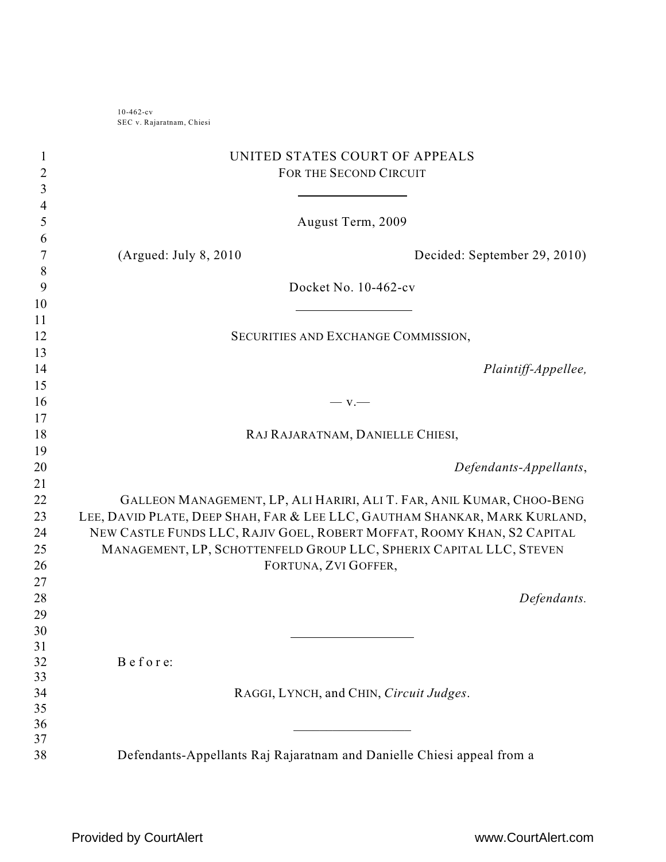10-462-cv SEC v. Rajaratnam, Chiesi

| 1<br>2         | UNITED STATES COURT OF APPEALS<br>FOR THE SECOND CIRCUIT                   |
|----------------|----------------------------------------------------------------------------|
| $\mathfrak{Z}$ |                                                                            |
| 4<br>5         | August Term, 2009                                                          |
| 6              |                                                                            |
| 7              | (Argued: July $8, 2010$<br>Decided: September 29, 2010)                    |
| 8              |                                                                            |
| 9              | Docket No. 10-462-cv                                                       |
| 10             |                                                                            |
| 11             |                                                                            |
| 12             | SECURITIES AND EXCHANGE COMMISSION,                                        |
| 13             |                                                                            |
| 14             | Plaintiff-Appellee,                                                        |
| 15             |                                                                            |
| 16             | $-$ v.                                                                     |
| 17             |                                                                            |
| 18<br>19       | RAJ RAJARATNAM, DANIELLE CHIESI,                                           |
| 20             | Defendants-Appellants,                                                     |
| 21             |                                                                            |
| 22             | GALLEON MANAGEMENT, LP, ALI HARIRI, ALI T. FAR, ANIL KUMAR, CHOO-BENG      |
| 23             | LEE, DAVID PLATE, DEEP SHAH, FAR & LEE LLC, GAUTHAM SHANKAR, MARK KURLAND, |
| 24             | NEW CASTLE FUNDS LLC, RAJIV GOEL, ROBERT MOFFAT, ROOMY KHAN, S2 CAPITAL    |
| 25             | MANAGEMENT, LP, SCHOTTENFELD GROUP LLC, SPHERIX CAPITAL LLC, STEVEN        |
| 26             | FORTUNA, ZVI GOFFER,                                                       |
| 27             |                                                                            |
| 28             | Defendants.                                                                |
| 29             |                                                                            |
| 30             |                                                                            |
| 31             |                                                                            |
| 32             | Before:                                                                    |
| 33             |                                                                            |
| 34             | RAGGI, LYNCH, and CHIN, Circuit Judges.                                    |
| 35<br>36       |                                                                            |
|                |                                                                            |
| 37             |                                                                            |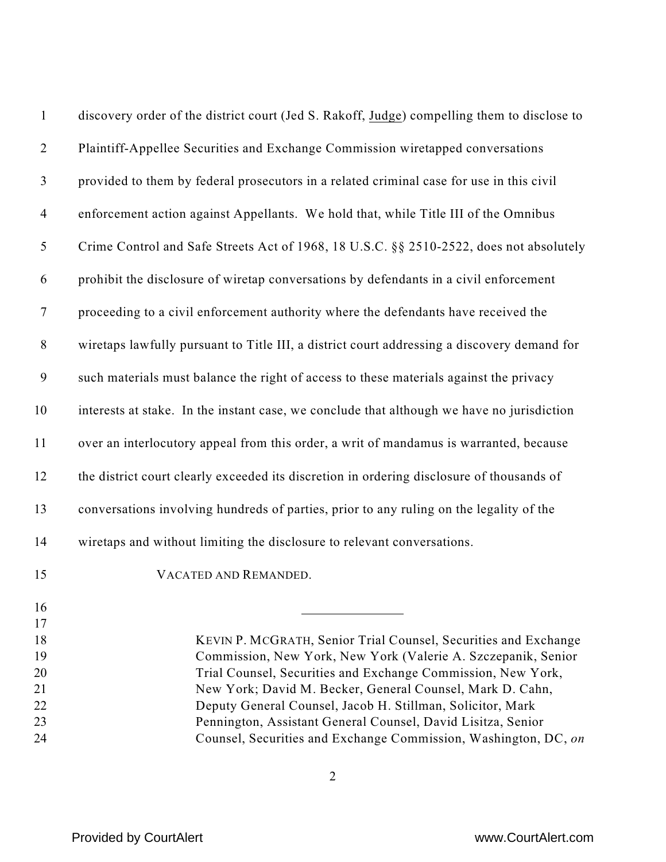| $\mathbf{1}$     | discovery order of the district court (Jed S. Rakoff, Judge) compelling them to disclose to                             |
|------------------|-------------------------------------------------------------------------------------------------------------------------|
| $\overline{2}$   | Plaintiff-Appellee Securities and Exchange Commission wiretapped conversations                                          |
| $\mathfrak{Z}$   | provided to them by federal prosecutors in a related criminal case for use in this civil                                |
| $\overline{4}$   | enforcement action against Appellants. We hold that, while Title III of the Omnibus                                     |
| 5                | Crime Control and Safe Streets Act of 1968, 18 U.S.C. §§ 2510-2522, does not absolutely                                 |
| 6                | prohibit the disclosure of wiretap conversations by defendants in a civil enforcement                                   |
| $\tau$           | proceeding to a civil enforcement authority where the defendants have received the                                      |
| $8\,$            | wiretaps lawfully pursuant to Title III, a district court addressing a discovery demand for                             |
| $\boldsymbol{9}$ | such materials must balance the right of access to these materials against the privacy                                  |
| 10               | interests at stake. In the instant case, we conclude that although we have no jurisdiction                              |
| 11               | over an interlocutory appeal from this order, a writ of mandamus is warranted, because                                  |
| 12               | the district court clearly exceeded its discretion in ordering disclosure of thousands of                               |
| 13               | conversations involving hundreds of parties, prior to any ruling on the legality of the                                 |
| 14               | wiretaps and without limiting the disclosure to relevant conversations.                                                 |
| 15               | VACATED AND REMANDED.                                                                                                   |
| 16<br>17         |                                                                                                                         |
| 18               | KEVIN P. MCGRATH, Senior Trial Counsel, Securities and Exchange                                                         |
| 19               | Commission, New York, New York (Valerie A. Szczepanik, Senior                                                           |
| 20               | Trial Counsel, Securities and Exchange Commission, New York,                                                            |
| 21<br>22         | New York; David M. Becker, General Counsel, Mark D. Cahn,<br>Deputy General Counsel, Jacob H. Stillman, Solicitor, Mark |
| 23               | Pennington, Assistant General Counsel, David Lisitza, Senior                                                            |
| 24               | Counsel, Securities and Exchange Commission, Washington, DC, on                                                         |
|                  |                                                                                                                         |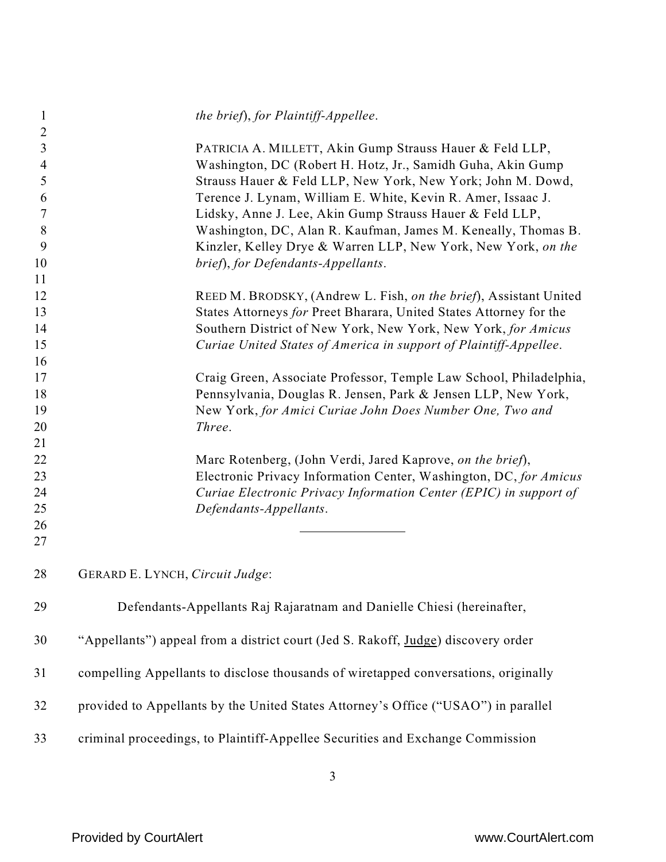| 1              | the brief), for Plaintiff-Appellee.                                                 |
|----------------|-------------------------------------------------------------------------------------|
| 2<br>3         | PATRICIA A. MILLETT, Akin Gump Strauss Hauer & Feld LLP,                            |
| $\overline{4}$ | Washington, DC (Robert H. Hotz, Jr., Samidh Guha, Akin Gump                         |
| 5              | Strauss Hauer & Feld LLP, New York, New York; John M. Dowd,                         |
| 6              | Terence J. Lynam, William E. White, Kevin R. Amer, Issaac J.                        |
| 7              | Lidsky, Anne J. Lee, Akin Gump Strauss Hauer & Feld LLP,                            |
| 8              | Washington, DC, Alan R. Kaufman, James M. Keneally, Thomas B.                       |
| 9              | Kinzler, Kelley Drye & Warren LLP, New York, New York, on the                       |
| 10             | brief), for Defendants-Appellants.                                                  |
| 11             |                                                                                     |
| 12             | REED M. BRODSKY, (Andrew L. Fish, on the brief), Assistant United                   |
| 13             | States Attorneys for Preet Bharara, United States Attorney for the                  |
| 14             | Southern District of New York, New York, New York, for Amicus                       |
| 15             | Curiae United States of America in support of Plaintiff-Appellee.                   |
| 16             |                                                                                     |
| 17             | Craig Green, Associate Professor, Temple Law School, Philadelphia,                  |
| 18             | Pennsylvania, Douglas R. Jensen, Park & Jensen LLP, New York,                       |
| 19             | New York, for Amici Curiae John Does Number One, Two and                            |
| 20             | Three.                                                                              |
| 21             |                                                                                     |
| 22             | Marc Rotenberg, (John Verdi, Jared Kaprove, on the brief),                          |
| 23             | Electronic Privacy Information Center, Washington, DC, for Amicus                   |
| 24             | Curiae Electronic Privacy Information Center (EPIC) in support of                   |
| 25             | Defendants-Appellants.                                                              |
| 26             |                                                                                     |
| 27             |                                                                                     |
| 28             | GERARD E. LYNCH, Circuit Judge:                                                     |
| 29             | Defendants-Appellants Raj Rajaratnam and Danielle Chiesi (hereinafter,              |
| 30             | "Appellants") appeal from a district court (Jed S. Rakoff, Judge) discovery order   |
| 31             | compelling Appellants to disclose thousands of wiretapped conversations, originally |
| 32             | provided to Appellants by the United States Attorney's Office ("USAO") in parallel  |
| 33             | criminal proceedings, to Plaintiff-Appellee Securities and Exchange Commission      |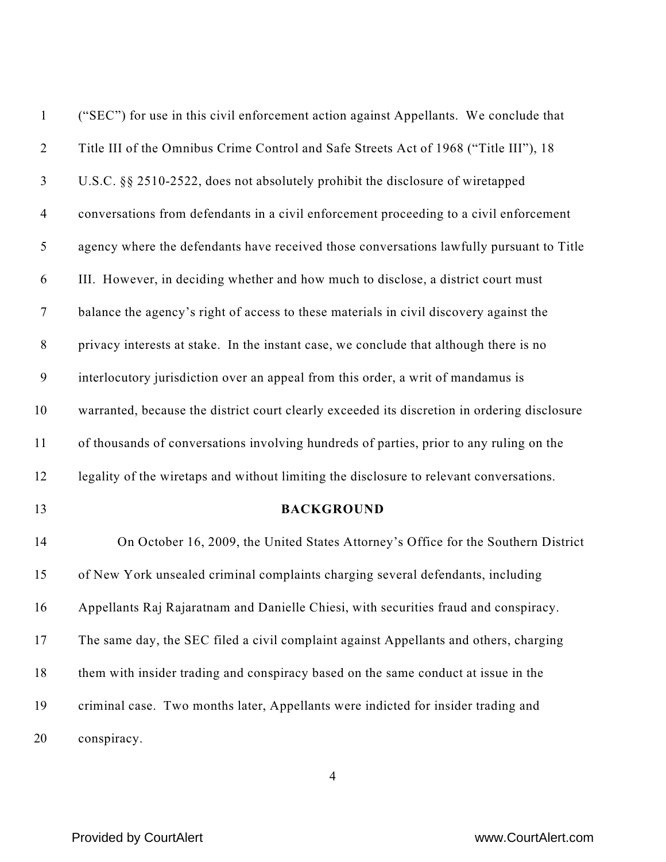| $\mathbf{1}$     | ("SEC") for use in this civil enforcement action against Appellants. We conclude that        |
|------------------|----------------------------------------------------------------------------------------------|
| $\overline{2}$   | Title III of the Omnibus Crime Control and Safe Streets Act of 1968 ("Title III"), 18        |
| $\mathfrak{Z}$   | U.S.C. §§ 2510-2522, does not absolutely prohibit the disclosure of wiretapped               |
| $\overline{4}$   | conversations from defendants in a civil enforcement proceeding to a civil enforcement       |
| $\mathfrak{S}$   | agency where the defendants have received those conversations lawfully pursuant to Title     |
| 6                | III. However, in deciding whether and how much to disclose, a district court must            |
| $\boldsymbol{7}$ | balance the agency's right of access to these materials in civil discovery against the       |
| $8\,$            | privacy interests at stake. In the instant case, we conclude that although there is no       |
| $\mathbf{9}$     | interlocutory jurisdiction over an appeal from this order, a writ of mandamus is             |
| 10               | warranted, because the district court clearly exceeded its discretion in ordering disclosure |
| 11               | of thousands of conversations involving hundreds of parties, prior to any ruling on the      |
| 12               | legality of the wiretaps and without limiting the disclosure to relevant conversations.      |
| 13               | <b>BACKGROUND</b>                                                                            |
| 14               | On October 16, 2009, the United States Attorney's Office for the Southern District           |
| 15               | of New York unsealed criminal complaints charging several defendants, including              |
| 16               | Appellants Raj Rajaratnam and Danielle Chiesi, with securities fraud and conspiracy.         |
| 17               | The same day, the SEC filed a civil complaint against Appellants and others, charging        |
| 18               | them with insider trading and conspiracy based on the same conduct at issue in the           |
| 19               | criminal case. Two months later, Appellants were indicted for insider trading and            |
| 20               | conspiracy.                                                                                  |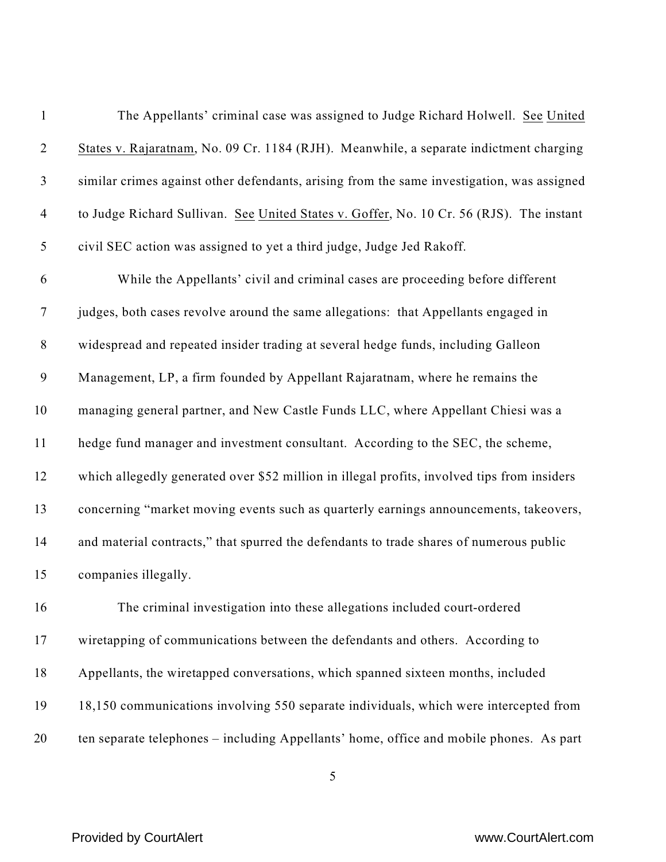| $\mathbf{1}$     | The Appellants' criminal case was assigned to Judge Richard Holwell. See United             |
|------------------|---------------------------------------------------------------------------------------------|
| $\overline{2}$   | States v. Rajaratnam, No. 09 Cr. 1184 (RJH). Meanwhile, a separate indictment charging      |
| $\mathfrak{Z}$   | similar crimes against other defendants, arising from the same investigation, was assigned  |
| $\overline{4}$   | to Judge Richard Sullivan. See United States v. Goffer, No. 10 Cr. 56 (RJS). The instant    |
| $\mathfrak{S}$   | civil SEC action was assigned to yet a third judge, Judge Jed Rakoff.                       |
| 6                | While the Appellants' civil and criminal cases are proceeding before different              |
| $\overline{7}$   | judges, both cases revolve around the same allegations: that Appellants engaged in          |
| $\,8\,$          | widespread and repeated insider trading at several hedge funds, including Galleon           |
| $\boldsymbol{9}$ | Management, LP, a firm founded by Appellant Rajaratnam, where he remains the                |
| 10               | managing general partner, and New Castle Funds LLC, where Appellant Chiesi was a            |
| 11               | hedge fund manager and investment consultant. According to the SEC, the scheme,             |
| 12               | which allegedly generated over \$52 million in illegal profits, involved tips from insiders |
| 13               | concerning "market moving events such as quarterly earnings announcements, takeovers,       |
| 14               | and material contracts," that spurred the defendants to trade shares of numerous public     |
| 15               | companies illegally.                                                                        |
| 16               | The criminal investigation into these allegations included court-ordered                    |
| 17               | wiretapping of communications between the defendants and others. According to               |
| 18               | Appellants, the wiretapped conversations, which spanned sixteen months, included            |
| 19               | 18,150 communications involving 550 separate individuals, which were intercepted from       |
| 20               | ten separate telephones – including Appellants' home, office and mobile phones. As part     |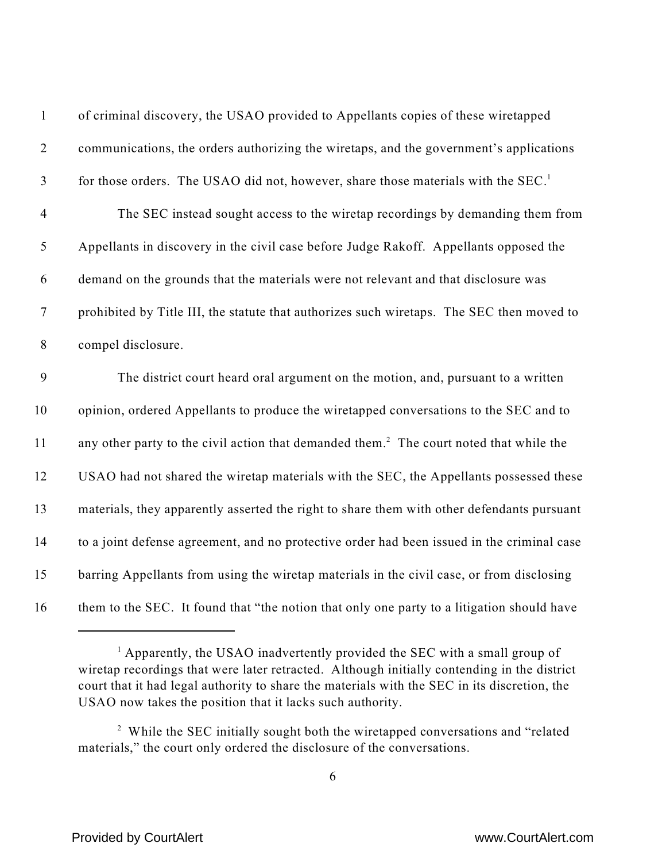| $\mathbf{1}$     | of criminal discovery, the USAO provided to Appellants copies of these wiretapped                   |
|------------------|-----------------------------------------------------------------------------------------------------|
| $\overline{2}$   | communications, the orders authorizing the wiretaps, and the government's applications              |
| $\mathfrak{Z}$   | for those orders. The USAO did not, however, share those materials with the SEC. <sup>1</sup>       |
| $\overline{4}$   | The SEC instead sought access to the wiretap recordings by demanding them from                      |
| $\sqrt{5}$       | Appellants in discovery in the civil case before Judge Rakoff. Appellants opposed the               |
| 6                | demand on the grounds that the materials were not relevant and that disclosure was                  |
| $\boldsymbol{7}$ | prohibited by Title III, the statute that authorizes such wiretaps. The SEC then moved to           |
| $\,8\,$          | compel disclosure.                                                                                  |
| 9                | The district court heard oral argument on the motion, and, pursuant to a written                    |
| 10               | opinion, ordered Appellants to produce the wiretapped conversations to the SEC and to               |
| 11               | any other party to the civil action that demanded them. <sup>2</sup> The court noted that while the |
| 12               | USAO had not shared the wiretap materials with the SEC, the Appellants possessed these              |
| 13               | materials, they apparently asserted the right to share them with other defendants pursuant          |
| 14               | to a joint defense agreement, and no protective order had been issued in the criminal case          |
| 15               | barring Appellants from using the wiretap materials in the civil case, or from disclosing           |
| 16               | them to the SEC. It found that "the notion that only one party to a litigation should have          |

 $^{1}$  Apparently, the USAO inadvertently provided the SEC with a small group of wiretap recordings that were later retracted. Although initially contending in the district court that it had legal authority to share the materials with the SEC in its discretion, the USAO now takes the position that it lacks such authority.

<sup>&</sup>lt;sup>2</sup> While the SEC initially sought both the wiretapped conversations and "related" materials," the court only ordered the disclosure of the conversations.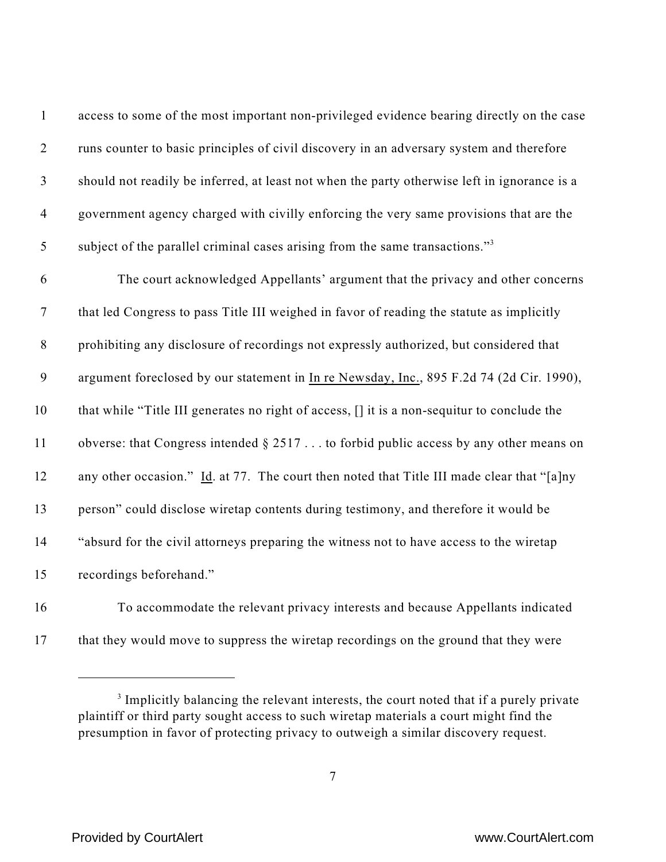| $\mathbf{1}$     | access to some of the most important non-privileged evidence bearing directly on the case    |
|------------------|----------------------------------------------------------------------------------------------|
| $\mathbf{2}$     | runs counter to basic principles of civil discovery in an adversary system and therefore     |
| $\mathfrak{Z}$   | should not readily be inferred, at least not when the party otherwise left in ignorance is a |
| $\overline{4}$   | government agency charged with civilly enforcing the very same provisions that are the       |
| $\mathfrak{S}$   | subject of the parallel criminal cases arising from the same transactions." <sup>3</sup>     |
| 6                | The court acknowledged Appellants' argument that the privacy and other concerns              |
| $\boldsymbol{7}$ | that led Congress to pass Title III weighed in favor of reading the statute as implicitly    |
| $8\,$            | prohibiting any disclosure of recordings not expressly authorized, but considered that       |
| $\boldsymbol{9}$ | argument foreclosed by our statement in In re Newsday, Inc., 895 F.2d 74 (2d Cir. 1990),     |
| 10               | that while "Title III generates no right of access, [] it is a non-sequitur to conclude the  |
| 11               | obverse: that Congress intended $\S 2517$ to forbid public access by any other means on      |
| 12               | any other occasion." Id. at 77. The court then noted that Title III made clear that "[a]ny   |
| 13               | person" could disclose wiretap contents during testimony, and therefore it would be          |
| 14               | "absurd for the civil attorneys preparing the witness not to have access to the wiretap      |
| 15               | recordings beforehand."                                                                      |
|                  |                                                                                              |

 To accommodate the relevant privacy interests and because Appellants indicated 17 that they would move to suppress the wiretap recordings on the ground that they were

<sup>&</sup>lt;sup>3</sup> Implicitly balancing the relevant interests, the court noted that if a purely private plaintiff or third party sought access to such wiretap materials a court might find the presumption in favor of protecting privacy to outweigh a similar discovery request.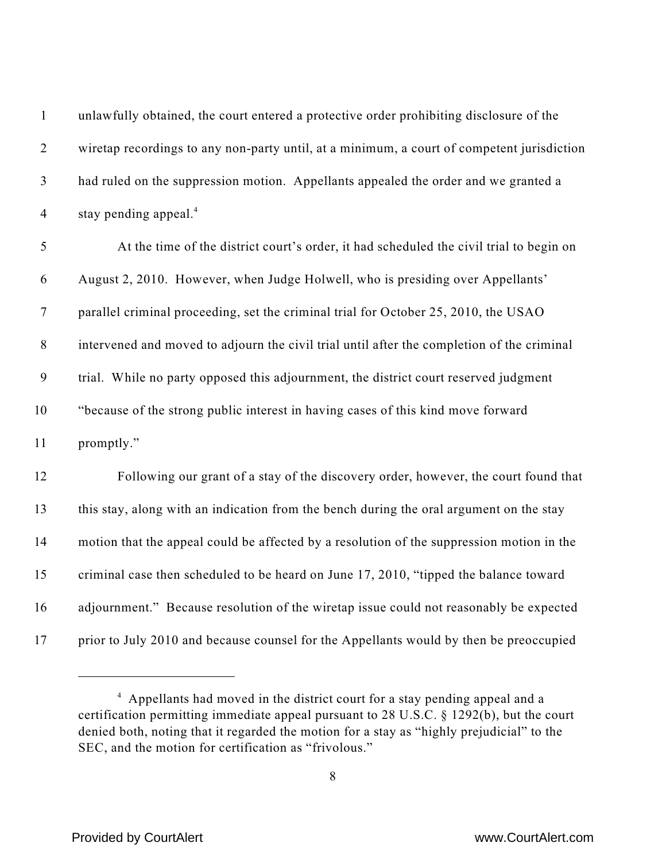| $\mathbf{1}$     | unlawfully obtained, the court entered a protective order prohibiting disclosure of the    |
|------------------|--------------------------------------------------------------------------------------------|
| $\overline{2}$   | wiretap recordings to any non-party until, at a minimum, a court of competent jurisdiction |
| $\mathfrak{Z}$   | had ruled on the suppression motion. Appellants appealed the order and we granted a        |
| $\overline{4}$   | stay pending appeal. <sup>4</sup>                                                          |
| 5                | At the time of the district court's order, it had scheduled the civil trial to begin on    |
| 6                | August 2, 2010. However, when Judge Holwell, who is presiding over Appellants'             |
| $\tau$           | parallel criminal proceeding, set the criminal trial for October 25, 2010, the USAO        |
| $\,8\,$          | intervened and moved to adjourn the civil trial until after the completion of the criminal |
| $\boldsymbol{9}$ | trial. While no party opposed this adjournment, the district court reserved judgment       |
| 10               | "because of the strong public interest in having cases of this kind move forward           |
| 11               | promptly."                                                                                 |
| 12               | Following our grant of a stay of the discovery order, however, the court found that        |
| 13               | this stay, along with an indication from the bench during the oral argument on the stay    |
| 14               | motion that the appeal could be affected by a resolution of the suppression motion in the  |
| 15               | criminal case then scheduled to be heard on June 17, 2010, "tipped the balance toward      |
| 16               | adjournment." Because resolution of the wiretap issue could not reasonably be expected     |
| 17               | prior to July 2010 and because counsel for the Appellants would by then be preoccupied     |

<sup>&</sup>lt;sup>4</sup> Appellants had moved in the district court for a stay pending appeal and a certification permitting immediate appeal pursuant to 28 U.S.C. § 1292(b), but the court denied both, noting that it regarded the motion for a stay as "highly prejudicial" to the SEC, and the motion for certification as "frivolous."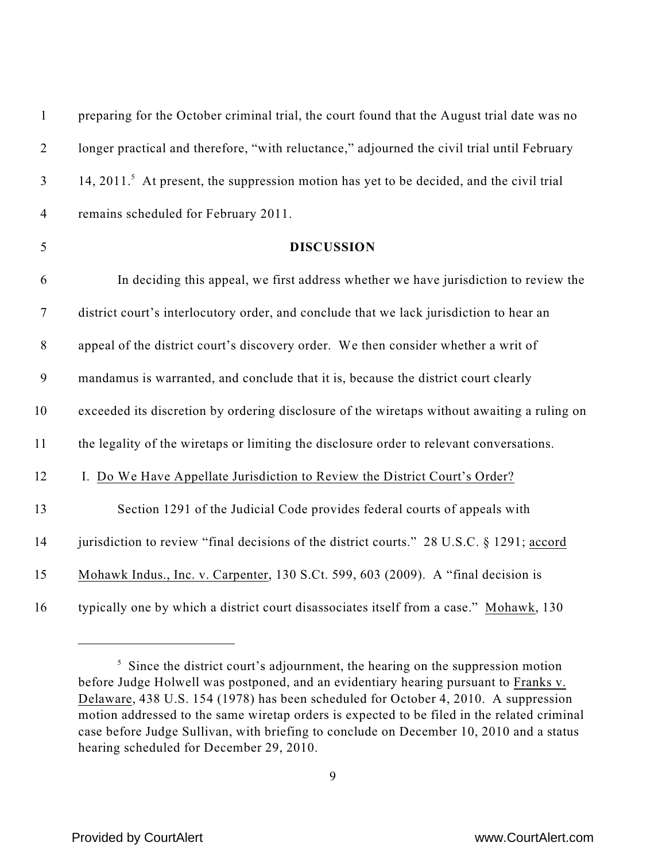| $\mathbf{1}$     | preparing for the October criminal trial, the court found that the August trial date was no          |
|------------------|------------------------------------------------------------------------------------------------------|
| $\mathbf{2}$     | longer practical and therefore, "with reluctance," adjourned the civil trial until February          |
| $\mathfrak{Z}$   | 14, 2011. <sup>5</sup> At present, the suppression motion has yet to be decided, and the civil trial |
| $\overline{4}$   | remains scheduled for February 2011.                                                                 |
| $\mathfrak{S}$   | <b>DISCUSSION</b>                                                                                    |
| 6                | In deciding this appeal, we first address whether we have jurisdiction to review the                 |
| $\boldsymbol{7}$ | district court's interlocutory order, and conclude that we lack jurisdiction to hear an              |
| $8\,$            | appeal of the district court's discovery order. We then consider whether a writ of                   |
| 9                | mandamus is warranted, and conclude that it is, because the district court clearly                   |
| 10               | exceeded its discretion by ordering disclosure of the wiretaps without awaiting a ruling on          |
| 11               | the legality of the wiretaps or limiting the disclosure order to relevant conversations.             |
| 12               | I. Do We Have Appellate Jurisdiction to Review the District Court's Order?                           |
| 13               | Section 1291 of the Judicial Code provides federal courts of appeals with                            |
| 14               | jurisdiction to review "final decisions of the district courts." 28 U.S.C. § 1291; accord            |
| 15               | Mohawk Indus., Inc. v. Carpenter, 130 S.Ct. 599, 603 (2009). A "final decision is                    |
| 16               | typically one by which a district court disassociates itself from a case." Mohawk, 130               |

 $\frac{1}{5}$  Since the district court's adjournment, the hearing on the suppression motion before Judge Holwell was postponed, and an evidentiary hearing pursuant to Franks v. Delaware, 438 U.S. 154 (1978) has been scheduled for October 4, 2010. A suppression motion addressed to the same wiretap orders is expected to be filed in the related criminal case before Judge Sullivan, with briefing to conclude on December 10, 2010 and a status hearing scheduled for December 29, 2010.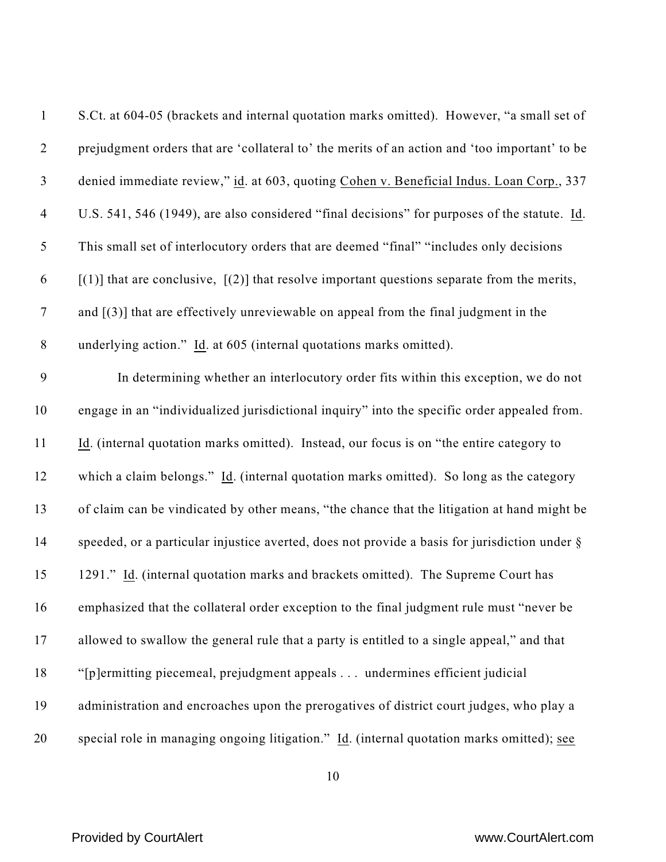| $\mathbf{1}$   | S.Ct. at 604-05 (brackets and internal quotation marks omitted). However, "a small set of       |
|----------------|-------------------------------------------------------------------------------------------------|
| $\overline{2}$ | prejudgment orders that are 'collateral to' the merits of an action and 'too important' to be   |
| $\mathfrak{Z}$ | denied immediate review," id. at 603, quoting Cohen v. Beneficial Indus. Loan Corp., 337        |
| $\overline{4}$ | U.S. 541, 546 (1949), are also considered "final decisions" for purposes of the statute. Id.    |
| 5              | This small set of interlocutory orders that are deemed "final" "includes only decisions         |
| 6              | $[(1)]$ that are conclusive, $[(2)]$ that resolve important questions separate from the merits, |
| $\tau$         | and $[(3)]$ that are effectively unreviewable on appeal from the final judgment in the          |
| $8\,$          | underlying action." Id. at 605 (internal quotations marks omitted).                             |
| 9              | In determining whether an interlocutory order fits within this exception, we do not             |
| 10             | engage in an "individualized jurisdictional inquiry" into the specific order appealed from.     |
| 11             | Id. (internal quotation marks omitted). Instead, our focus is on "the entire category to        |
| 12             | which a claim belongs." Id. (internal quotation marks omitted). So long as the category         |
| 13             | of claim can be vindicated by other means, "the chance that the litigation at hand might be     |
| 14             | speeded, or a particular injustice averted, does not provide a basis for jurisdiction under §   |
| 15             | 1291." Id. (internal quotation marks and brackets omitted). The Supreme Court has               |
| 16             | emphasized that the collateral order exception to the final judgment rule must "never be        |
| 17             | allowed to swallow the general rule that a party is entitled to a single appeal," and that      |
| 18             | "[p]ermitting piecemeal, prejudgment appeals undermines efficient judicial                      |
| 19             | administration and encroaches upon the prerogatives of district court judges, who play a        |
| 20             | special role in managing ongoing litigation." Id. (internal quotation marks omitted); see       |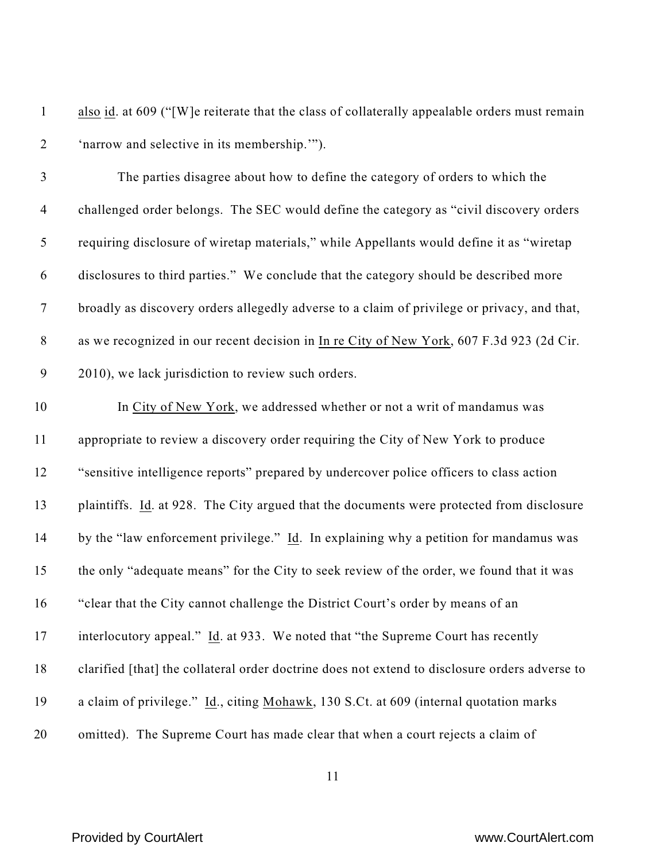| also id. at 609 ("[W] e reiterate that the class of collaterally appealable orders must remain |
|------------------------------------------------------------------------------------------------|
| 'narrow and selective in its membership."").                                                   |

 The parties disagree about how to define the category of orders to which the challenged order belongs. The SEC would define the category as "civil discovery orders requiring disclosure of wiretap materials," while Appellants would define it as "wiretap disclosures to third parties." We conclude that the category should be described more broadly as discovery orders allegedly adverse to a claim of privilege or privacy, and that, as we recognized in our recent decision in In re City of New York, 607 F.3d 923 (2d Cir. 2010), we lack jurisdiction to review such orders.

 In City of New York, we addressed whether or not a writ of mandamus was appropriate to review a discovery order requiring the City of New York to produce "sensitive intelligence reports" prepared by undercover police officers to class action plaintiffs. Id. at 928. The City argued that the documents were protected from disclosure by the "law enforcement privilege." Id. In explaining why a petition for mandamus was the only "adequate means" for the City to seek review of the order, we found that it was "clear that the City cannot challenge the District Court's order by means of an interlocutory appeal." Id. at 933. We noted that "the Supreme Court has recently clarified [that] the collateral order doctrine does not extend to disclosure orders adverse to a claim of privilege." Id., citing Mohawk, 130 S.Ct. at 609 (internal quotation marks omitted). The Supreme Court has made clear that when a court rejects a claim of

## Provided by CourtAlert www.CourtAlert.com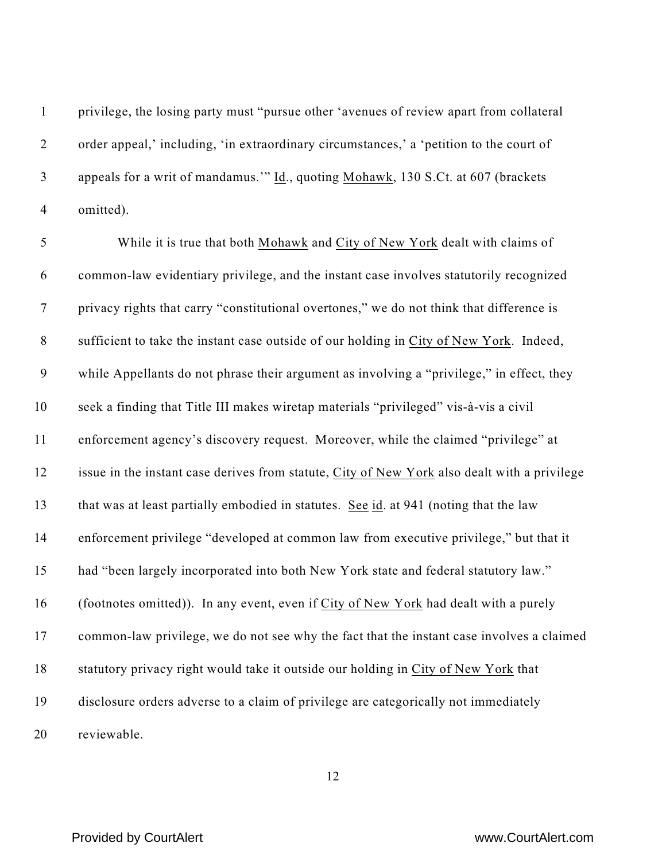privilege, the losing party must "pursue other 'avenues of review apart from collateral order appeal,' including, 'in extraordinary circumstances,' a 'petition to the court of appeals for a writ of mandamus.'" Id., quoting Mohawk, 130 S.Ct. at 607 (brackets omitted).

 While it is true that both Mohawk and City of New York dealt with claims of common-law evidentiary privilege, and the instant case involves statutorily recognized privacy rights that carry "constitutional overtones," we do not think that difference is sufficient to take the instant case outside of our holding in City of New York. Indeed, while Appellants do not phrase their argument as involving a "privilege," in effect, they seek a finding that Title III makes wiretap materials "privileged" vis-à-vis a civil enforcement agency's discovery request. Moreover, while the claimed "privilege" at issue in the instant case derives from statute, City of New York also dealt with a privilege that was at least partially embodied in statutes. See id. at 941 (noting that the law enforcement privilege "developed at common law from executive privilege," but that it had "been largely incorporated into both New York state and federal statutory law." (footnotes omitted)). In any event, even if City of New York had dealt with a purely common-law privilege, we do not see why the fact that the instant case involves a claimed statutory privacy right would take it outside our holding in City of New York that disclosure orders adverse to a claim of privilege are categorically not immediately reviewable.

### Provided by CourtAlert www.CourtAlert.com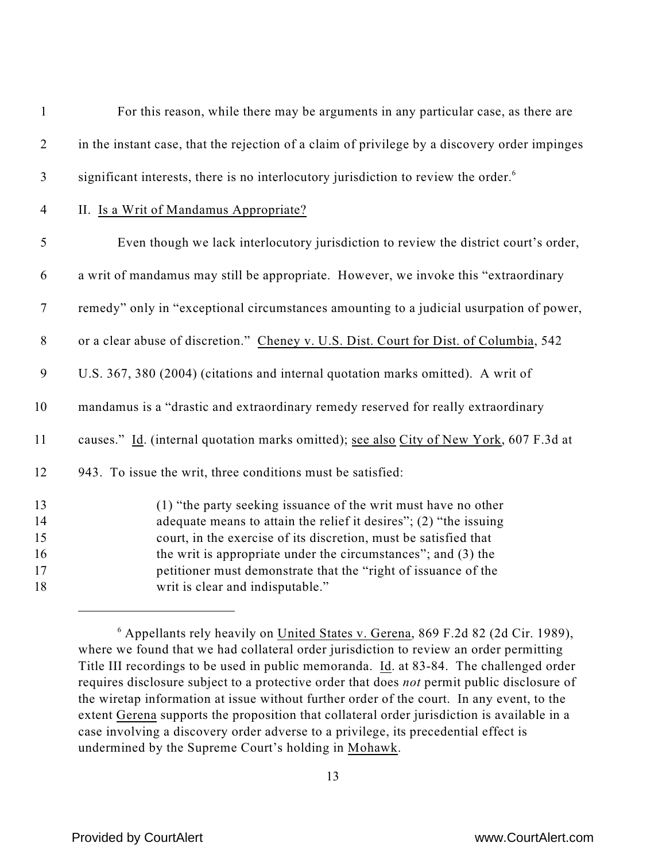| $\mathbf{2}$<br>$\mathfrak{Z}$ | in the instant case, that the rejection of a claim of privilege by a discovery order impinges<br>significant interests, there is no interlocutory jurisdiction to review the order. <sup>6</sup><br>II. Is a Writ of Mandamus Appropriate?<br>Even though we lack interlocutory jurisdiction to review the district court's order, |
|--------------------------------|------------------------------------------------------------------------------------------------------------------------------------------------------------------------------------------------------------------------------------------------------------------------------------------------------------------------------------|
|                                |                                                                                                                                                                                                                                                                                                                                    |
|                                |                                                                                                                                                                                                                                                                                                                                    |
| $\overline{4}$                 |                                                                                                                                                                                                                                                                                                                                    |
| $\mathfrak{S}$                 |                                                                                                                                                                                                                                                                                                                                    |
| 6                              | a writ of mandamus may still be appropriate. However, we invoke this "extraordinary                                                                                                                                                                                                                                                |
| $\tau$                         | remedy" only in "exceptional circumstances amounting to a judicial usurpation of power,                                                                                                                                                                                                                                            |
| $8\,$                          | or a clear abuse of discretion." Cheney v. U.S. Dist. Court for Dist. of Columbia, 542                                                                                                                                                                                                                                             |
| $\boldsymbol{9}$               | U.S. 367, 380 (2004) (citations and internal quotation marks omitted). A writ of                                                                                                                                                                                                                                                   |
| 10                             | mandamus is a "drastic and extraordinary remedy reserved for really extraordinary                                                                                                                                                                                                                                                  |
| 11                             | causes." Id. (internal quotation marks omitted); see also City of New York, 607 F.3d at                                                                                                                                                                                                                                            |
| 12                             | 943. To issue the writ, three conditions must be satisfied:                                                                                                                                                                                                                                                                        |
| 13                             | (1) "the party seeking issuance of the writ must have no other                                                                                                                                                                                                                                                                     |
| 14                             | adequate means to attain the relief it desires"; (2) "the issuing                                                                                                                                                                                                                                                                  |
| 15                             | court, in the exercise of its discretion, must be satisfied that                                                                                                                                                                                                                                                                   |
| 16                             | the writ is appropriate under the circumstances"; and (3) the                                                                                                                                                                                                                                                                      |
| 17                             | petitioner must demonstrate that the "right of issuance of the                                                                                                                                                                                                                                                                     |
| 18                             | writ is clear and indisputable."                                                                                                                                                                                                                                                                                                   |

 Appellants rely heavily on United States v. Gerena, 869 F.2d 82 (2d Cir. 1989), where we found that we had collateral order jurisdiction to review an order permitting Title III recordings to be used in public memoranda. Id. at 83-84. The challenged order requires disclosure subject to a protective order that does *not* permit public disclosure of the wiretap information at issue without further order of the court. In any event, to the extent Gerena supports the proposition that collateral order jurisdiction is available in a case involving a discovery order adverse to a privilege, its precedential effect is undermined by the Supreme Court's holding in Mohawk.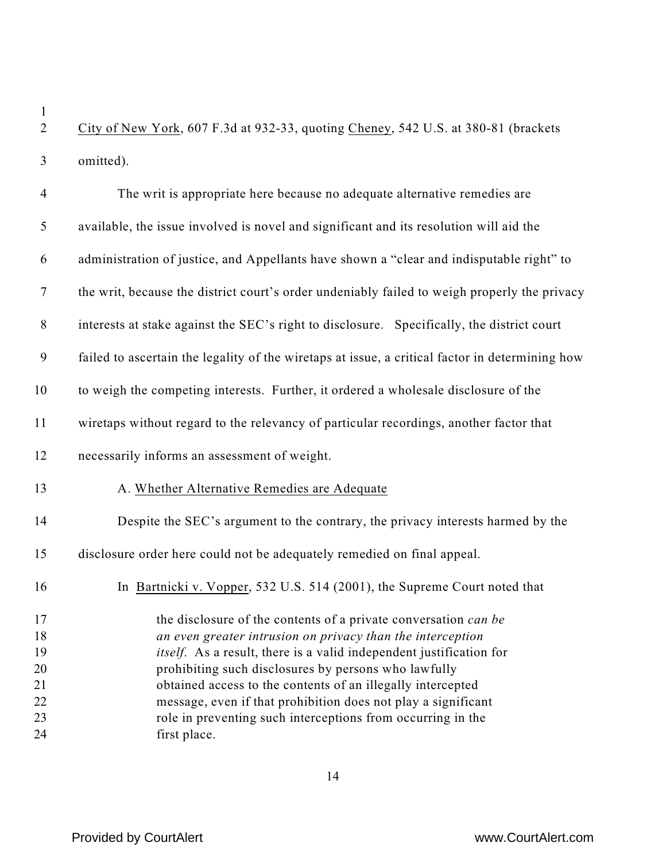City of New York, 607 F.3d at 932-33, quoting Cheney, 542 U.S. at 380-81 (brackets omitted).

| $\overline{4}$   | The writ is appropriate here because no adequate alternative remedies are                       |
|------------------|-------------------------------------------------------------------------------------------------|
| 5                | available, the issue involved is novel and significant and its resolution will aid the          |
| 6                | administration of justice, and Appellants have shown a "clear and indisputable right" to        |
| $\boldsymbol{7}$ | the writ, because the district court's order undeniably failed to weigh properly the privacy    |
| $8\,$            | interests at stake against the SEC's right to disclosure. Specifically, the district court      |
| 9                | failed to ascertain the legality of the wiretaps at issue, a critical factor in determining how |
| 10               | to weigh the competing interests. Further, it ordered a wholesale disclosure of the             |
| 11               | wiretaps without regard to the relevancy of particular recordings, another factor that          |
| 12               | necessarily informs an assessment of weight.                                                    |
| 13               | A. Whether Alternative Remedies are Adequate                                                    |
| 14               | Despite the SEC's argument to the contrary, the privacy interests harmed by the                 |
| 15               | disclosure order here could not be adequately remedied on final appeal.                         |
| 16               | In Bartnicki v. Vopper, 532 U.S. 514 (2001), the Supreme Court noted that                       |
| 17               | the disclosure of the contents of a private conversation can be                                 |
| 18               | an even greater intrusion on privacy than the interception                                      |
| 19               | itself. As a result, there is a valid independent justification for                             |
| 20               | prohibiting such disclosures by persons who lawfully                                            |
| 21               | obtained access to the contents of an illegally intercepted                                     |
| 22               | message, even if that prohibition does not play a significant                                   |
| 23               | role in preventing such interceptions from occurring in the                                     |
| 24               | first place.                                                                                    |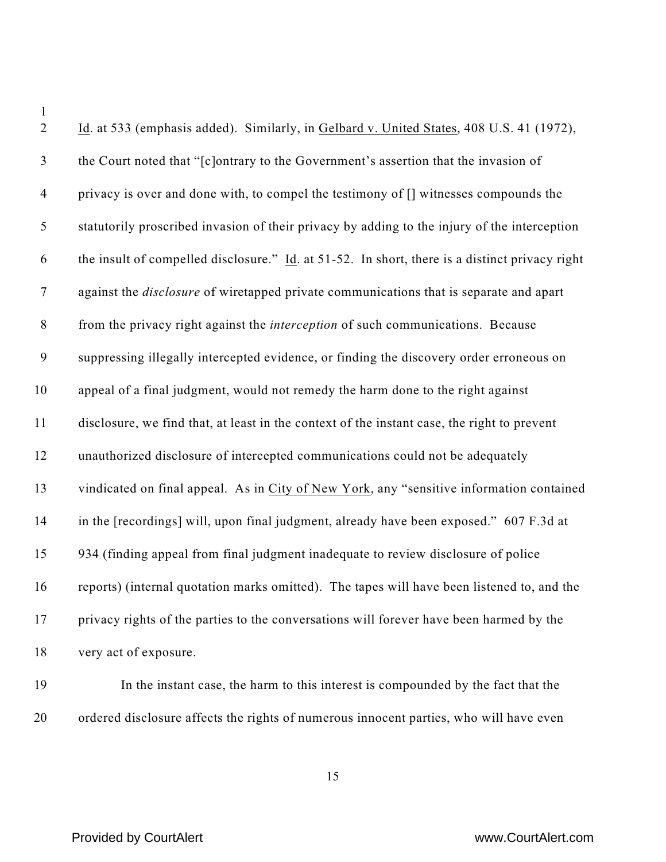| $\sqrt{2}$     | Id. at 533 (emphasis added). Similarly, in Gelbard v. United States, 408 U.S. 41 (1972),       |
|----------------|------------------------------------------------------------------------------------------------|
| $\mathfrak{Z}$ | the Court noted that "[c]ontrary to the Government's assertion that the invasion of            |
| $\overline{4}$ | privacy is over and done with, to compel the testimony of [] witnesses compounds the           |
| $\mathfrak{S}$ | statutorily proscribed invasion of their privacy by adding to the injury of the interception   |
| 6              | the insult of compelled disclosure." Id. at 51-52. In short, there is a distinct privacy right |
| $\tau$         | against the <i>disclosure</i> of wiretapped private communications that is separate and apart  |
| $8\,$          | from the privacy right against the <i>interception</i> of such communications. Because         |
| $\mathbf{9}$   | suppressing illegally intercepted evidence, or finding the discovery order erroneous on        |
| 10             | appeal of a final judgment, would not remedy the harm done to the right against                |
| 11             | disclosure, we find that, at least in the context of the instant case, the right to prevent    |
| 12             | unauthorized disclosure of intercepted communications could not be adequately                  |
| 13             | vindicated on final appeal. As in City of New York, any "sensitive information contained       |
| 14             | in the [recordings] will, upon final judgment, already have been exposed." 607 F.3d at         |
| 15             | 934 (finding appeal from final judgment inadequate to review disclosure of police              |
| 16             | reports) (internal quotation marks omitted). The tapes will have been listened to, and the     |
| 17             | privacy rights of the parties to the conversations will forever have been harmed by the        |
| 18             | very act of exposure.                                                                          |
| 19             | In the instant case, the harm to this interest is compounded by the fact that the              |

ordered disclosure affects the rights of numerous innocent parties, who will have even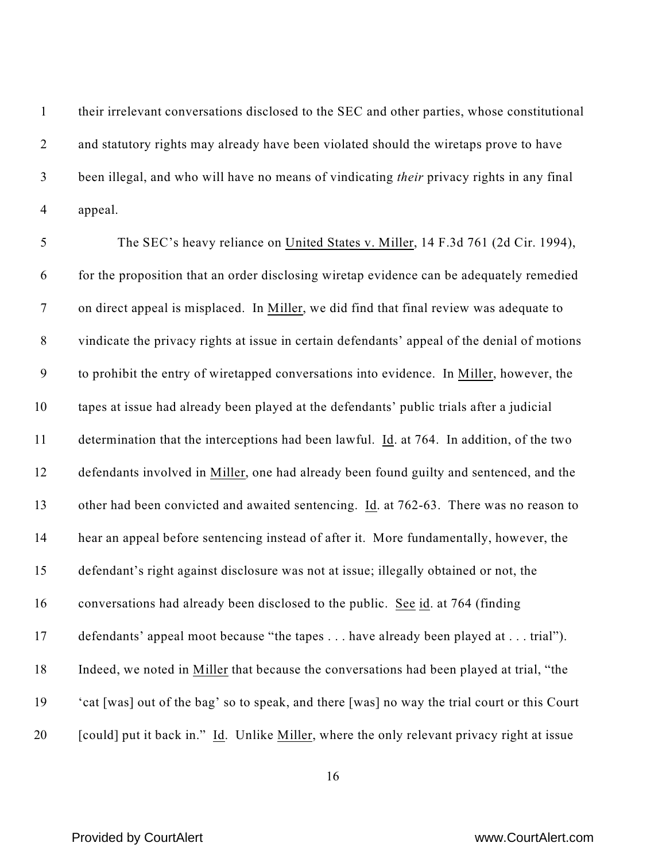their irrelevant conversations disclosed to the SEC and other parties, whose constitutional 2 and statutory rights may already have been violated should the wiretaps prove to have been illegal, and who will have no means of vindicating *their* privacy rights in any final appeal.

5 The SEC's heavy reliance on United States v. Miller, 14 F.3d 761 (2d Cir. 1994), for the proposition that an order disclosing wiretap evidence can be adequately remedied on direct appeal is misplaced. In Miller, we did find that final review was adequate to vindicate the privacy rights at issue in certain defendants' appeal of the denial of motions to prohibit the entry of wiretapped conversations into evidence. In Miller, however, the tapes at issue had already been played at the defendants' public trials after a judicial determination that the interceptions had been lawful. Id. at 764. In addition, of the two defendants involved in Miller, one had already been found guilty and sentenced, and the other had been convicted and awaited sentencing. Id. at 762-63. There was no reason to hear an appeal before sentencing instead of after it. More fundamentally, however, the defendant's right against disclosure was not at issue; illegally obtained or not, the conversations had already been disclosed to the public. See id. at 764 (finding defendants' appeal moot because "the tapes . . . have already been played at . . . trial"). Indeed, we noted in Miller that because the conversations had been played at trial, "the 'cat [was] out of the bag' so to speak, and there [was] no way the trial court or this Court [could] put it back in." Id. Unlike Miller, where the only relevant privacy right at issue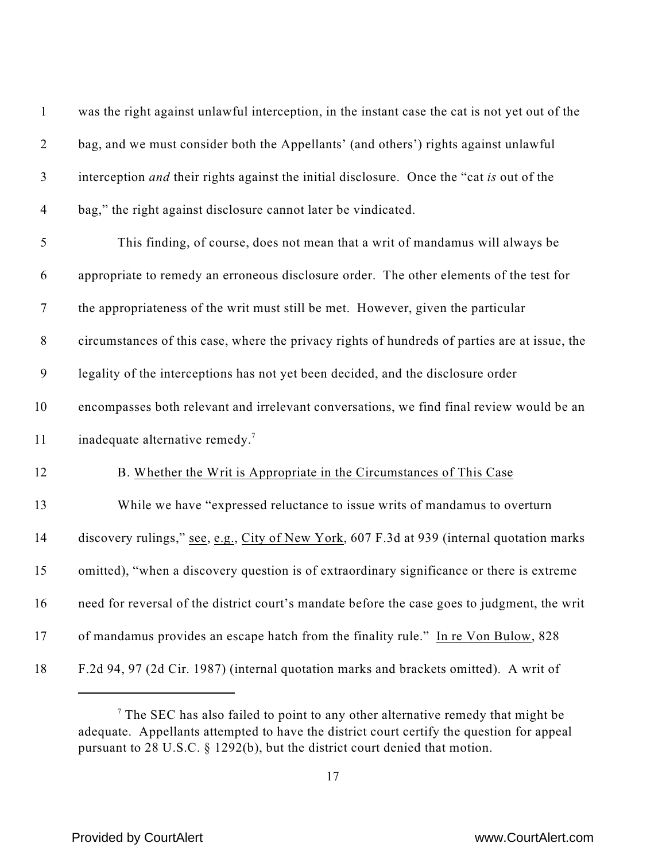| $\mathbf{1}$   | was the right against unlawful interception, in the instant case the cat is not yet out of the |
|----------------|------------------------------------------------------------------------------------------------|
| $\overline{2}$ | bag, and we must consider both the Appellants' (and others') rights against unlawful           |
| $\mathfrak{Z}$ | interception and their rights against the initial disclosure. Once the "cat is out of the      |
| $\overline{4}$ | bag," the right against disclosure cannot later be vindicated.                                 |
| 5              | This finding, of course, does not mean that a writ of mandamus will always be                  |
| 6              | appropriate to remedy an erroneous disclosure order. The other elements of the test for        |
| $\tau$         | the appropriateness of the writ must still be met. However, given the particular               |
| $8\,$          | circumstances of this case, where the privacy rights of hundreds of parties are at issue, the  |
| 9              | legality of the interceptions has not yet been decided, and the disclosure order               |
| 10             | encompasses both relevant and irrelevant conversations, we find final review would be an       |
| 11             | inadequate alternative remedy. <sup>7</sup>                                                    |
| 12             | B. Whether the Writ is Appropriate in the Circumstances of This Case                           |
| 13             | While we have "expressed reluctance to issue writs of mandamus to overturn                     |
| 14             | discovery rulings," see, e.g., City of New York, 607 F.3d at 939 (internal quotation marks     |
| 15             | omitted), "when a discovery question is of extraordinary significance or there is extreme      |
| 16             | need for reversal of the district court's mandate before the case goes to judgment, the writ   |
| 17             | of mandamus provides an escape hatch from the finality rule." In re Von Bulow, 828             |
| 18             | F.2d 94, 97 (2d Cir. 1987) (internal quotation marks and brackets omitted). A writ of          |

<sup>&</sup>lt;sup>7</sup> The SEC has also failed to point to any other alternative remedy that might be adequate. Appellants attempted to have the district court certify the question for appeal pursuant to 28 U.S.C. § 1292(b), but the district court denied that motion.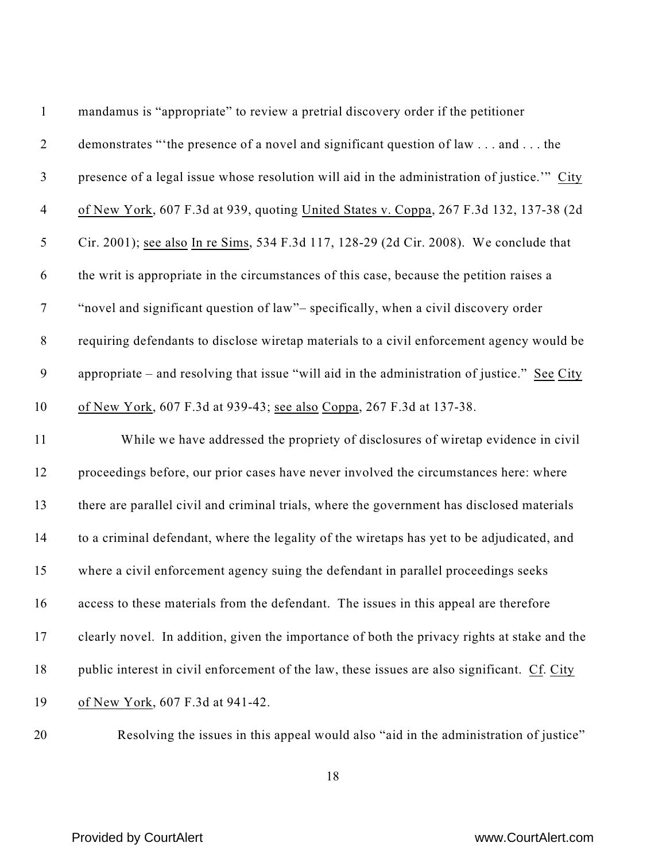| $\mathbf{1}$   | mandamus is "appropriate" to review a pretrial discovery order if the petitioner             |
|----------------|----------------------------------------------------------------------------------------------|
| $\overline{2}$ | demonstrates "'the presence of a novel and significant question of law and the               |
| $\mathfrak{Z}$ | presence of a legal issue whose resolution will aid in the administration of justice." City  |
| $\overline{4}$ | of New York, 607 F.3d at 939, quoting United States v. Coppa, 267 F.3d 132, 137-38 (2d       |
| 5              | Cir. 2001); see also In re Sims, 534 F.3d 117, 128-29 (2d Cir. 2008). We conclude that       |
| 6              | the writ is appropriate in the circumstances of this case, because the petition raises a     |
| $\tau$         | "novel and significant question of law"- specifically, when a civil discovery order          |
| $8\,$          | requiring defendants to disclose wiretap materials to a civil enforcement agency would be    |
| 9              | appropriate – and resolving that issue "will aid in the administration of justice." See City |
| 10             | of New York, 607 F.3d at 939-43; see also Coppa, 267 F.3d at 137-38.                         |
| 11             | While we have addressed the propriety of disclosures of wiretap evidence in civil            |
| 12             | proceedings before, our prior cases have never involved the circumstances here: where        |
| 13             | there are parallel civil and criminal trials, where the government has disclosed materials   |
| 14             | to a criminal defendant, where the legality of the wiretaps has yet to be adjudicated, and   |
| 15             | where a civil enforcement agency suing the defendant in parallel proceedings seeks           |
| 16             | access to these materials from the defendant. The issues in this appeal are therefore        |
| 17             | clearly novel. In addition, given the importance of both the privacy rights at stake and the |
| 18             | public interest in civil enforcement of the law, these issues are also significant. Cf. City |
| 19             | of New York, 607 F.3d at 941-42.                                                             |
|                |                                                                                              |

Resolving the issues in this appeal would also "aid in the administration of justice"

## Provided by CourtAlert **With CourtAlert** www.CourtAlert.com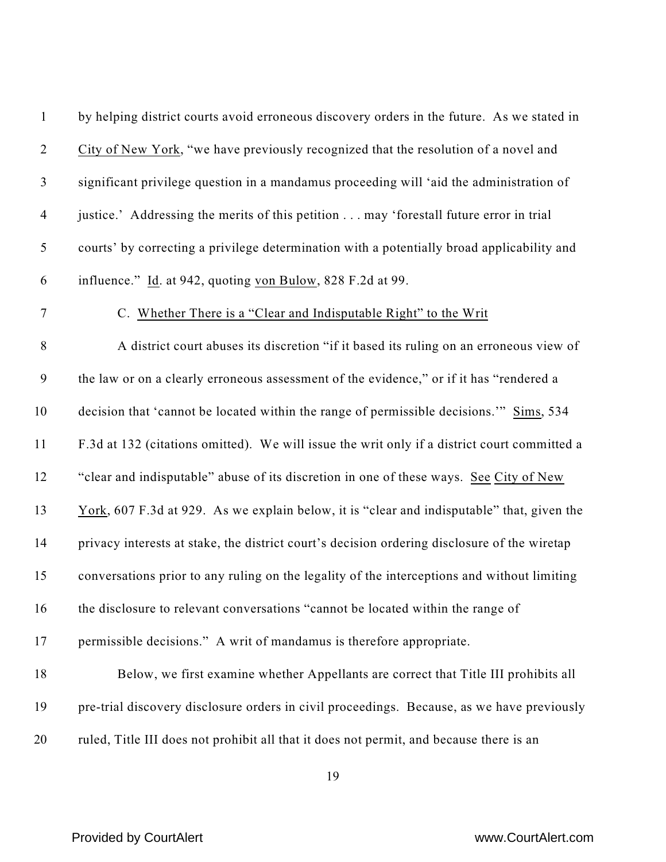| $\mathbf{1}$     | by helping district courts avoid erroneous discovery orders in the future. As we stated in   |
|------------------|----------------------------------------------------------------------------------------------|
| $\overline{2}$   | City of New York, "we have previously recognized that the resolution of a novel and          |
| $\mathfrak{Z}$   | significant privilege question in a mandamus proceeding will 'aid the administration of      |
| $\overline{4}$   | justice.' Addressing the merits of this petition may 'forestall future error in trial        |
| 5                | courts' by correcting a privilege determination with a potentially broad applicability and   |
| 6                | influence." Id. at 942, quoting von Bulow, 828 F.2d at 99.                                   |
| $\boldsymbol{7}$ | C. Whether There is a "Clear and Indisputable Right" to the Writ                             |
| $8\,$            | A district court abuses its discretion "if it based its ruling on an erroneous view of       |
| $\boldsymbol{9}$ | the law or on a clearly erroneous assessment of the evidence," or if it has "rendered a      |
| 10               | decision that 'cannot be located within the range of permissible decisions." Sims, 534       |
| 11               | F.3d at 132 (citations omitted). We will issue the writ only if a district court committed a |
| 12               | "clear and indisputable" abuse of its discretion in one of these ways. See City of New       |
| 13               | York, 607 F.3d at 929. As we explain below, it is "clear and indisputable" that, given the   |
| 14               | privacy interests at stake, the district court's decision ordering disclosure of the wiretap |
| 15               | conversations prior to any ruling on the legality of the interceptions and without limiting  |
| 16               | the disclosure to relevant conversations "cannot be located within the range of              |
| 17               | permissible decisions." A writ of mandamus is therefore appropriate.                         |
| 18               | Below, we first examine whether Appellants are correct that Title III prohibits all          |
| 19               | pre-trial discovery disclosure orders in civil proceedings. Because, as we have previously   |
| 20               | ruled, Title III does not prohibit all that it does not permit, and because there is an      |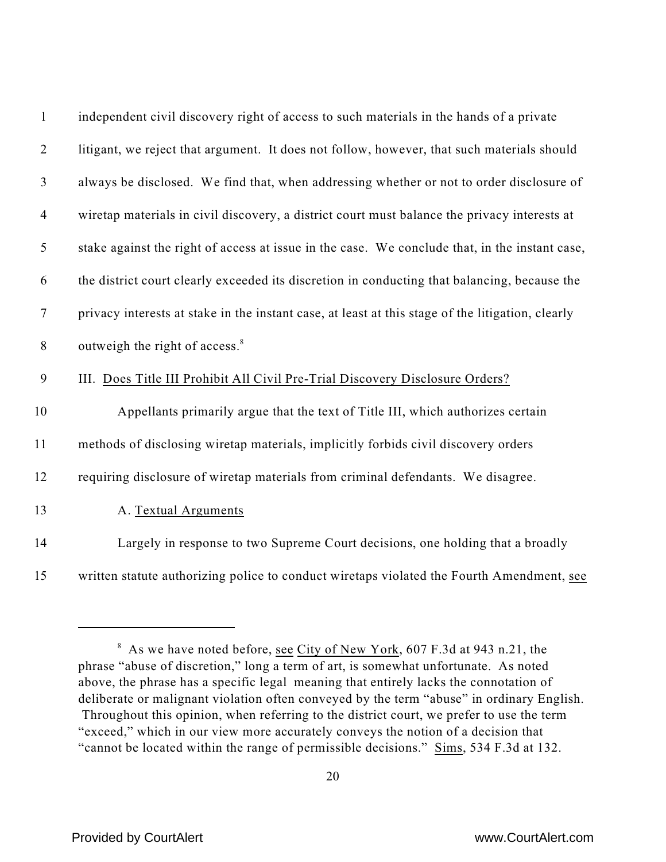| $\mathbf{1}$   | independent civil discovery right of access to such materials in the hands of a private           |
|----------------|---------------------------------------------------------------------------------------------------|
| $\overline{2}$ | litigant, we reject that argument. It does not follow, however, that such materials should        |
| 3              | always be disclosed. We find that, when addressing whether or not to order disclosure of          |
| $\overline{4}$ | wiretap materials in civil discovery, a district court must balance the privacy interests at      |
| 5              | stake against the right of access at issue in the case. We conclude that, in the instant case,    |
| 6              | the district court clearly exceeded its discretion in conducting that balancing, because the      |
| $\tau$         | privacy interests at stake in the instant case, at least at this stage of the litigation, clearly |
| $8\,$          | outweigh the right of access. <sup>8</sup>                                                        |
| 9              | III. Does Title III Prohibit All Civil Pre-Trial Discovery Disclosure Orders?                     |
| 10             | Appellants primarily argue that the text of Title III, which authorizes certain                   |
| 11             | methods of disclosing wiretap materials, implicitly forbids civil discovery orders                |
| 12             | requiring disclosure of wiretap materials from criminal defendants. We disagree.                  |
| 13             | A. Textual Arguments                                                                              |
| 14             | Largely in response to two Supreme Court decisions, one holding that a broadly                    |
| 15             | written statute authorizing police to conduct wiretaps violated the Fourth Amendment, see         |

<sup>&</sup>lt;sup>8</sup> As we have noted before, <u>see City of New York</u>, 607 F.3d at 943 n.21, the phrase "abuse of discretion," long a term of art, is somewhat unfortunate. As noted above, the phrase has a specific legal meaning that entirely lacks the connotation of deliberate or malignant violation often conveyed by the term "abuse" in ordinary English. Throughout this opinion, when referring to the district court, we prefer to use the term "exceed," which in our view more accurately conveys the notion of a decision that "cannot be located within the range of permissible decisions." Sims, 534 F.3d at 132.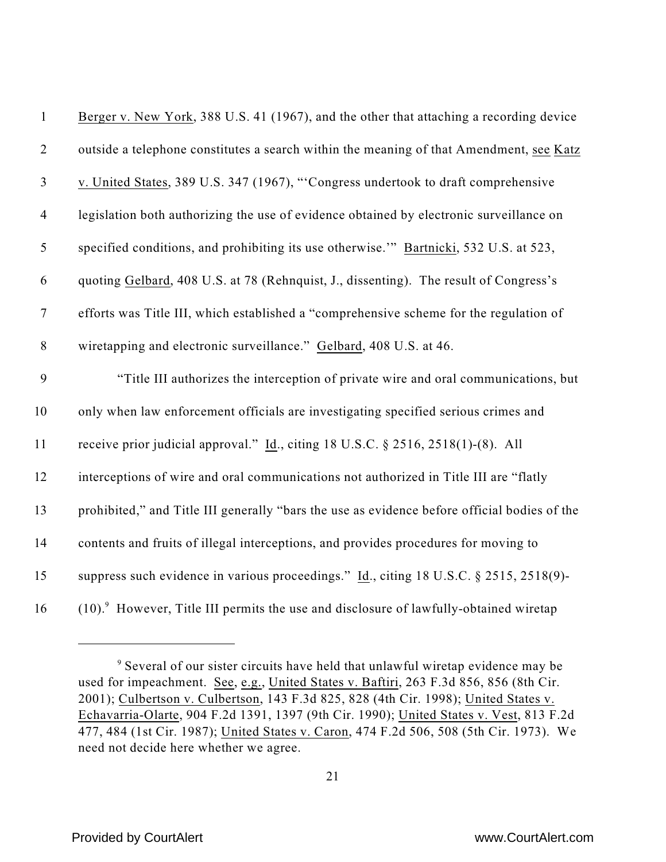| $\mathbf{1}$   | Berger v. New York, 388 U.S. 41 (1967), and the other that attaching a recording device             |
|----------------|-----------------------------------------------------------------------------------------------------|
| $\sqrt{2}$     | outside a telephone constitutes a search within the meaning of that Amendment, see Katz             |
| $\mathfrak{Z}$ | v. United States, 389 U.S. 347 (1967), "Congress undertook to draft comprehensive                   |
| $\overline{4}$ | legislation both authorizing the use of evidence obtained by electronic surveillance on             |
| $\mathfrak{S}$ | specified conditions, and prohibiting its use otherwise." Bartnicki, 532 U.S. at 523,               |
| 6              | quoting Gelbard, 408 U.S. at 78 (Rehnquist, J., dissenting). The result of Congress's               |
| $\tau$         | efforts was Title III, which established a "comprehensive scheme for the regulation of              |
| $8\,$          | wiretapping and electronic surveillance." Gelbard, 408 U.S. at 46.                                  |
| 9              | "Title III authorizes the interception of private wire and oral communications, but                 |
| 10             | only when law enforcement officials are investigating specified serious crimes and                  |
| 11             | receive prior judicial approval." $\underline{Id}$ ., citing 18 U.S.C. § 2516, 2518(1)-(8). All     |
| 12             | interceptions of wire and oral communications not authorized in Title III are "flatly               |
| 13             | prohibited," and Title III generally "bars the use as evidence before official bodies of the        |
| 14             | contents and fruits of illegal interceptions, and provides procedures for moving to                 |
| 15             | suppress such evidence in various proceedings." Id., citing 18 U.S.C. § 2515, 2518(9)-              |
| 16             | $(10).$ <sup>9</sup> However, Title III permits the use and disclosure of lawfully-obtained wiretap |

<sup>&</sup>lt;sup>9</sup> Several of our sister circuits have held that unlawful wiretap evidence may be used for impeachment. See, e.g., United States v. Baftiri, 263 F.3d 856, 856 (8th Cir. 2001); Culbertson v. Culbertson, 143 F.3d 825, 828 (4th Cir. 1998); United States v. Echavarria-Olarte, 904 F.2d 1391, 1397 (9th Cir. 1990); United States v. Vest, 813 F.2d 477, 484 (1st Cir. 1987); United States v. Caron, 474 F.2d 506, 508 (5th Cir. 1973). We need not decide here whether we agree.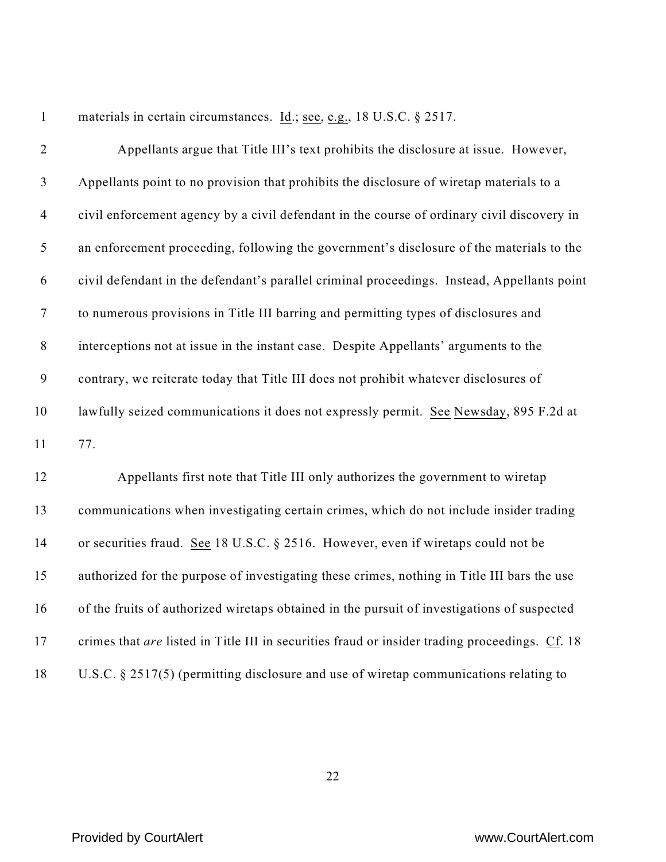1 materials in certain circumstances. Id.; see, e.g., 18 U.S.C. § 2517. Appellants argue that Title III's text prohibits the disclosure at issue. However, Appellants point to no provision that prohibits the disclosure of wiretap materials to a civil enforcement agency by a civil defendant in the course of ordinary civil discovery in an enforcement proceeding, following the government's disclosure of the materials to the civil defendant in the defendant's parallel criminal proceedings. Instead, Appellants point to numerous provisions in Title III barring and permitting types of disclosures and interceptions not at issue in the instant case. Despite Appellants' arguments to the contrary, we reiterate today that Title III does not prohibit whatever disclosures of lawfully seized communications it does not expressly permit. See Newsday, 895 F.2d at 77. Appellants first note that Title III only authorizes the government to wiretap

 communications when investigating certain crimes, which do not include insider trading or securities fraud. See 18 U.S.C. § 2516. However, even if wiretaps could not be authorized for the purpose of investigating these crimes, nothing in Title III bars the use of the fruits of authorized wiretaps obtained in the pursuit of investigations of suspected crimes that *are* listed in Title III in securities fraud or insider trading proceedings. Cf. 18 U.S.C. § 2517(5) (permitting disclosure and use of wiretap communications relating to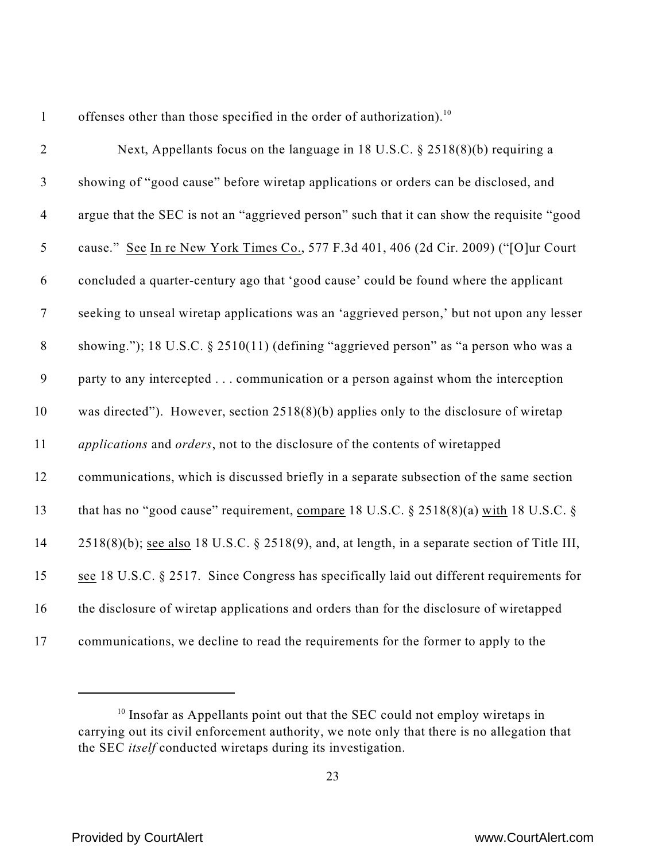1 offenses other than those specified in the order of authorization).<sup>10</sup>

| $\overline{2}$   | Next, Appellants focus on the language in 18 U.S.C. $\S 2518(8)(b)$ requiring a                  |
|------------------|--------------------------------------------------------------------------------------------------|
| $\mathfrak{Z}$   | showing of "good cause" before wiretap applications or orders can be disclosed, and              |
| $\overline{4}$   | argue that the SEC is not an "aggrieved person" such that it can show the requisite "good        |
| $\mathfrak{S}$   | cause." See In re New York Times Co., 577 F.3d 401, 406 (2d Cir. 2009) ("[O]ur Court             |
| 6                | concluded a quarter-century ago that 'good cause' could be found where the applicant             |
| $\boldsymbol{7}$ | seeking to unseal wiretap applications was an 'aggrieved person,' but not upon any lesser        |
| $8\,$            | showing."); 18 U.S.C. § 2510(11) (defining "aggrieved person" as "a person who was a             |
| 9                | party to any intercepted communication or a person against whom the interception                 |
| 10               | was directed"). However, section $2518(8)(b)$ applies only to the disclosure of wiretap          |
| 11               | applications and orders, not to the disclosure of the contents of wiretapped                     |
| 12               | communications, which is discussed briefly in a separate subsection of the same section          |
| 13               | that has no "good cause" requirement, compare 18 U.S.C. § 2518(8)(a) with 18 U.S.C. §            |
| 14               | $2518(8)(b)$ ; see also 18 U.S.C. § 2518(9), and, at length, in a separate section of Title III, |
| 15               | see 18 U.S.C. § 2517. Since Congress has specifically laid out different requirements for        |
| 16               | the disclosure of wiretap applications and orders than for the disclosure of wiretapped          |
| 17               | communications, we decline to read the requirements for the former to apply to the               |

 Insofar as Appellants point out that the SEC could not employ wiretaps in carrying out its civil enforcement authority, we note only that there is no allegation that the SEC *itself* conducted wiretaps during its investigation.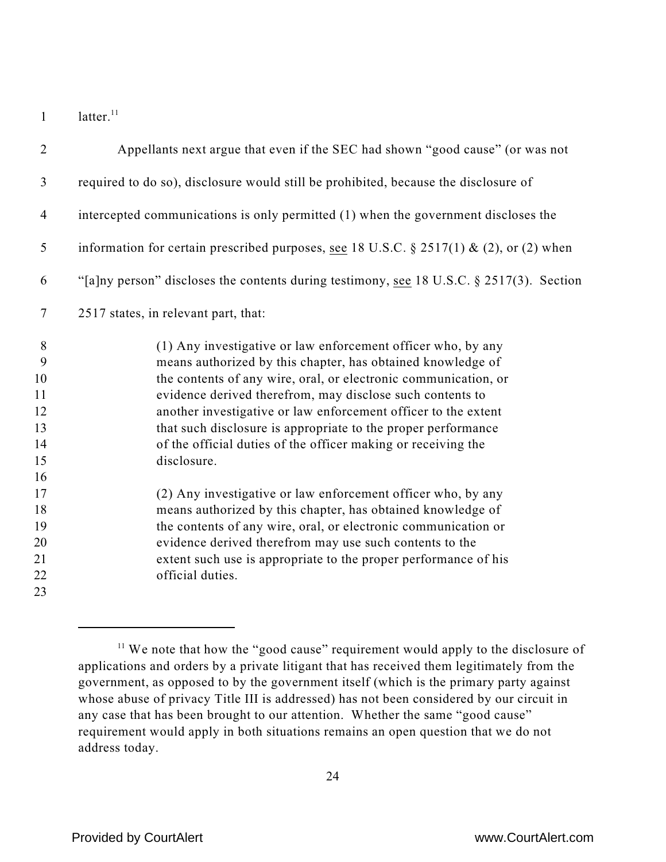1  $l$  latter.<sup>11</sup>

| $\overline{2}$   | Appellants next argue that even if the SEC had shown "good cause" (or was not            |
|------------------|------------------------------------------------------------------------------------------|
| $\mathfrak{Z}$   | required to do so), disclosure would still be prohibited, because the disclosure of      |
| $\overline{4}$   | intercepted communications is only permitted (1) when the government discloses the       |
| 5                | information for certain prescribed purposes, see 18 U.S.C. § 2517(1) & (2), or (2) when  |
| 6                | "[a]ny person" discloses the contents during testimony, see 18 U.S.C. § 2517(3). Section |
| $\boldsymbol{7}$ | 2517 states, in relevant part, that:                                                     |
| $8\phantom{1}$   | (1) Any investigative or law enforcement officer who, by any                             |
| 9                | means authorized by this chapter, has obtained knowledge of                              |
| 10               | the contents of any wire, oral, or electronic communication, or                          |
| 11               | evidence derived therefrom, may disclose such contents to                                |
| 12               | another investigative or law enforcement officer to the extent                           |
| 13               | that such disclosure is appropriate to the proper performance                            |
| 14               | of the official duties of the officer making or receiving the                            |
| 15               | disclosure.                                                                              |
| 16               |                                                                                          |
| 17               | (2) Any investigative or law enforcement officer who, by any                             |
| 18               | means authorized by this chapter, has obtained knowledge of                              |
| 19               | the contents of any wire, oral, or electronic communication or                           |
| 20               | evidence derived therefrom may use such contents to the                                  |
| 21               | extent such use is appropriate to the proper performance of his                          |
| 22               | official duties.                                                                         |
| 23               |                                                                                          |

 We note that how the "good cause" requirement would apply to the disclosure of applications and orders by a private litigant that has received them legitimately from the government, as opposed to by the government itself (which is the primary party against whose abuse of privacy Title III is addressed) has not been considered by our circuit in any case that has been brought to our attention. Whether the same "good cause" requirement would apply in both situations remains an open question that we do not address today.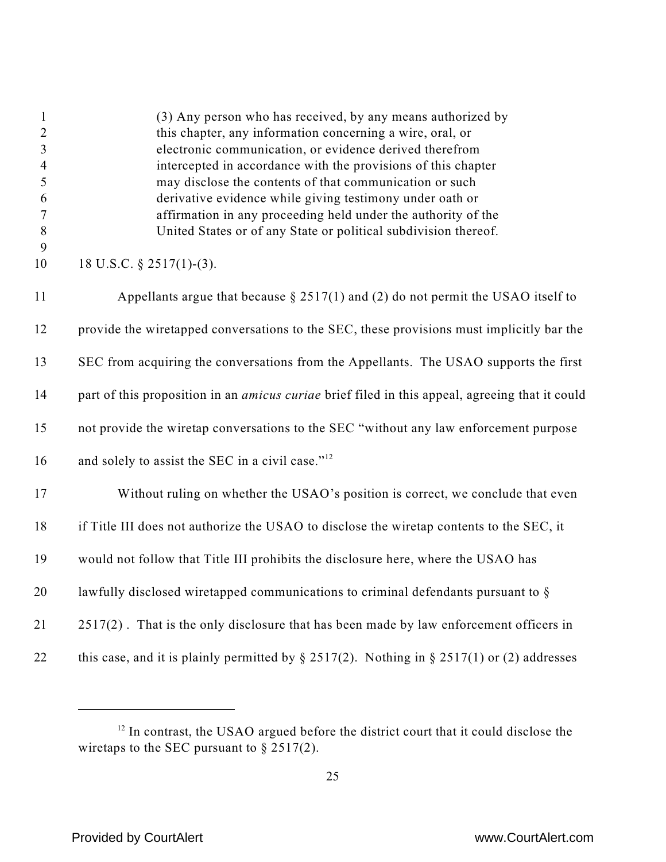| $\mathbf{1}$<br>$\overline{2}$<br>$\overline{3}$<br>$\overline{4}$<br>5<br>6<br>$\tau$<br>8 | (3) Any person who has received, by any means authorized by<br>this chapter, any information concerning a wire, oral, or<br>electronic communication, or evidence derived therefrom<br>intercepted in accordance with the provisions of this chapter<br>may disclose the contents of that communication or such<br>derivative evidence while giving testimony under oath or<br>affirmation in any proceeding held under the authority of the<br>United States or of any State or political subdivision thereof. |
|---------------------------------------------------------------------------------------------|-----------------------------------------------------------------------------------------------------------------------------------------------------------------------------------------------------------------------------------------------------------------------------------------------------------------------------------------------------------------------------------------------------------------------------------------------------------------------------------------------------------------|
| 9<br>10                                                                                     | 18 U.S.C. $\S$ 2517(1)-(3).                                                                                                                                                                                                                                                                                                                                                                                                                                                                                     |
| 11                                                                                          | Appellants argue that because $\S 2517(1)$ and (2) do not permit the USAO itself to                                                                                                                                                                                                                                                                                                                                                                                                                             |
| 12                                                                                          | provide the wiretapped conversations to the SEC, these provisions must implicitly bar the                                                                                                                                                                                                                                                                                                                                                                                                                       |
| 13                                                                                          | SEC from acquiring the conversations from the Appellants. The USAO supports the first                                                                                                                                                                                                                                                                                                                                                                                                                           |
| 14                                                                                          | part of this proposition in an <i>amicus curiae</i> brief filed in this appeal, agreeing that it could                                                                                                                                                                                                                                                                                                                                                                                                          |
| 15                                                                                          | not provide the wiretap conversations to the SEC "without any law enforcement purpose                                                                                                                                                                                                                                                                                                                                                                                                                           |
| 16                                                                                          | and solely to assist the SEC in a civil case." <sup>12</sup>                                                                                                                                                                                                                                                                                                                                                                                                                                                    |
| 17                                                                                          | Without ruling on whether the USAO's position is correct, we conclude that even                                                                                                                                                                                                                                                                                                                                                                                                                                 |
| 18                                                                                          | if Title III does not authorize the USAO to disclose the wiretap contents to the SEC, it                                                                                                                                                                                                                                                                                                                                                                                                                        |
| 19                                                                                          | would not follow that Title III prohibits the disclosure here, where the USAO has                                                                                                                                                                                                                                                                                                                                                                                                                               |
| 20                                                                                          | lawfully disclosed wiretapped communications to criminal defendants pursuant to §                                                                                                                                                                                                                                                                                                                                                                                                                               |
| 21                                                                                          | 2517(2). That is the only disclosure that has been made by law enforcement officers in                                                                                                                                                                                                                                                                                                                                                                                                                          |
| 22                                                                                          | this case, and it is plainly permitted by $\S 2517(2)$ . Nothing in $\S 2517(1)$ or (2) addresses                                                                                                                                                                                                                                                                                                                                                                                                               |

 In contrast, the USAO argued before the district court that it could disclose the wiretaps to the SEC pursuant to  $\S 2517(2)$ .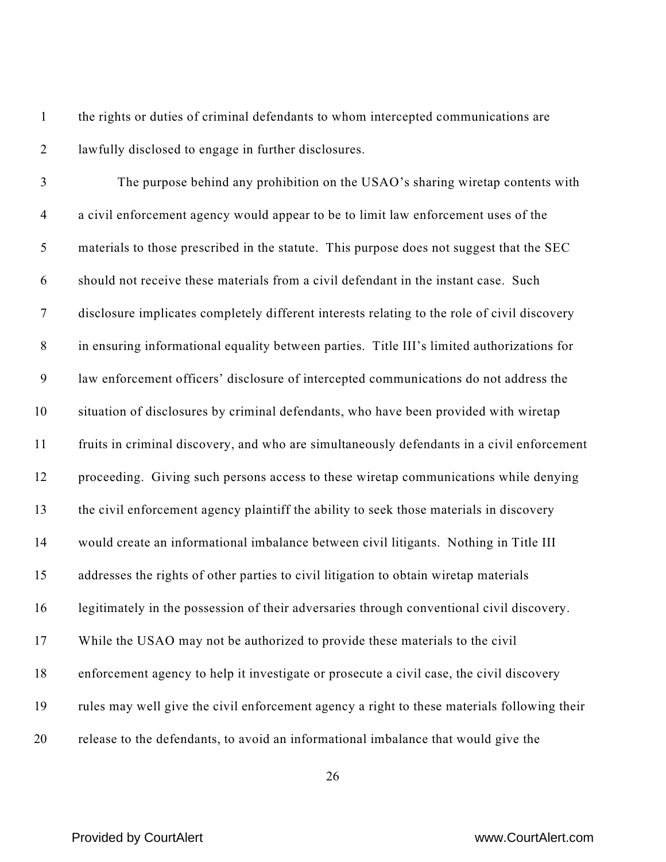the rights or duties of criminal defendants to whom intercepted communications are lawfully disclosed to engage in further disclosures.

 The purpose behind any prohibition on the USAO's sharing wiretap contents with a civil enforcement agency would appear to be to limit law enforcement uses of the materials to those prescribed in the statute. This purpose does not suggest that the SEC should not receive these materials from a civil defendant in the instant case. Such disclosure implicates completely different interests relating to the role of civil discovery in ensuring informational equality between parties. Title III's limited authorizations for law enforcement officers' disclosure of intercepted communications do not address the situation of disclosures by criminal defendants, who have been provided with wiretap fruits in criminal discovery, and who are simultaneously defendants in a civil enforcement proceeding. Giving such persons access to these wiretap communications while denying the civil enforcement agency plaintiff the ability to seek those materials in discovery would create an informational imbalance between civil litigants. Nothing in Title III addresses the rights of other parties to civil litigation to obtain wiretap materials legitimately in the possession of their adversaries through conventional civil discovery. While the USAO may not be authorized to provide these materials to the civil enforcement agency to help it investigate or prosecute a civil case, the civil discovery rules may well give the civil enforcement agency a right to these materials following their release to the defendants, to avoid an informational imbalance that would give the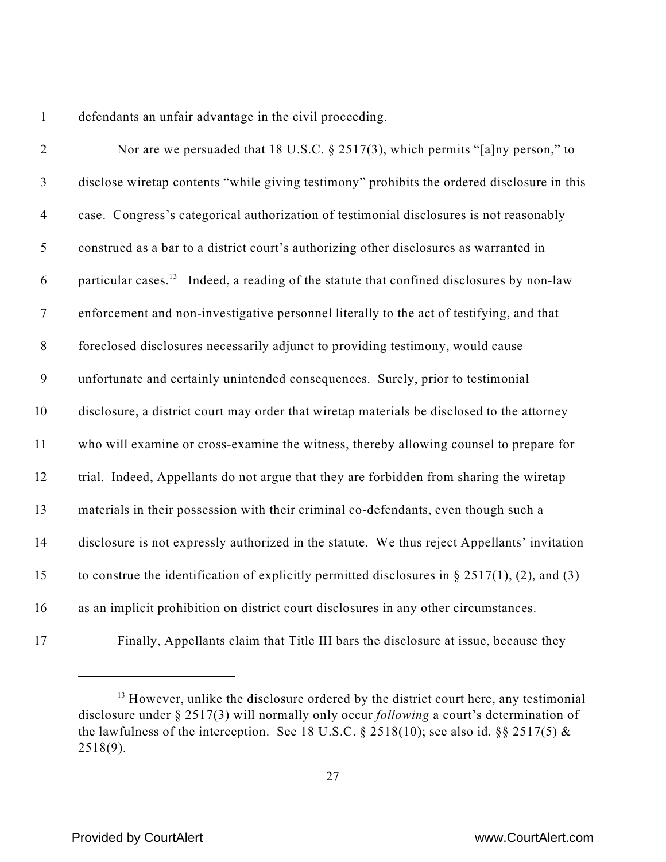defendants an unfair advantage in the civil proceeding.

| $\overline{2}$   | Nor are we persuaded that 18 U.S.C. § 2517(3), which permits "[a]ny person," to                       |
|------------------|-------------------------------------------------------------------------------------------------------|
| $\mathfrak{Z}$   | disclose wiretap contents "while giving testimony" prohibits the ordered disclosure in this           |
| $\overline{4}$   | case. Congress's categorical authorization of testimonial disclosures is not reasonably               |
| $\mathfrak{S}$   | construed as a bar to a district court's authorizing other disclosures as warranted in                |
| 6                | particular cases. <sup>13</sup> Indeed, a reading of the statute that confined disclosures by non-law |
| $\boldsymbol{7}$ | enforcement and non-investigative personnel literally to the act of testifying, and that              |
| $\,8\,$          | foreclosed disclosures necessarily adjunct to providing testimony, would cause                        |
| $\boldsymbol{9}$ | unfortunate and certainly unintended consequences. Surely, prior to testimonial                       |
| 10               | disclosure, a district court may order that wiretap materials be disclosed to the attorney            |
| 11               | who will examine or cross-examine the witness, thereby allowing counsel to prepare for                |
| 12               | trial. Indeed, Appellants do not argue that they are forbidden from sharing the wiretap               |
| 13               | materials in their possession with their criminal co-defendants, even though such a                   |
| 14               | disclosure is not expressly authorized in the statute. We thus reject Appellants' invitation          |
| 15               | to construe the identification of explicitly permitted disclosures in $\S 2517(1)$ , (2), and (3)     |
| 16               | as an implicit prohibition on district court disclosures in any other circumstances.                  |
| 17               | Finally. Appellants claim that Title III bars the disclosure at issue, because they                   |

Finally, Appellants claim that Title III bars the disclosure at issue, because they

<sup>&</sup>lt;sup>13</sup> However, unlike the disclosure ordered by the district court here, any testimonial disclosure under § 2517(3) will normally only occur *following* a court's determination of the lawfulness of the interception. See 18 U.S.C. § 2518(10); see also id. §§ 2517(5) & 2518(9).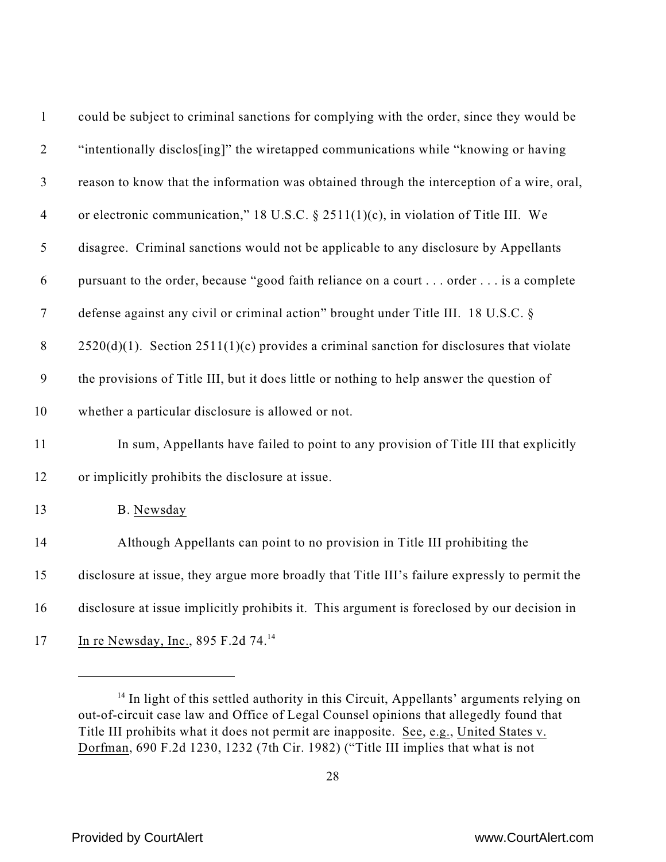| $\mathbf{1}$     | could be subject to criminal sanctions for complying with the order, since they would be      |
|------------------|-----------------------------------------------------------------------------------------------|
| $\overline{2}$   | "intentionally disclos[ing]" the wiretapped communications while "knowing or having           |
| $\mathfrak{Z}$   | reason to know that the information was obtained through the interception of a wire, oral,    |
| $\overline{4}$   | or electronic communication," 18 U.S.C. § 2511(1)(c), in violation of Title III. We           |
| 5                | disagree. Criminal sanctions would not be applicable to any disclosure by Appellants          |
| 6                | pursuant to the order, because "good faith reliance on a court order is a complete            |
| $\boldsymbol{7}$ | defense against any civil or criminal action" brought under Title III. 18 U.S.C. §            |
| $8\,$            | $2520(d)(1)$ . Section $2511(1)(c)$ provides a criminal sanction for disclosures that violate |
| 9                | the provisions of Title III, but it does little or nothing to help answer the question of     |
| 10               | whether a particular disclosure is allowed or not.                                            |
| 11               | In sum, Appellants have failed to point to any provision of Title III that explicitly         |
| 12               | or implicitly prohibits the disclosure at issue.                                              |
| 13               | B. Newsday                                                                                    |
| 14               | Although Appellants can point to no provision in Title III prohibiting the                    |
| 15               | disclosure at issue, they argue more broadly that Title III's failure expressly to permit the |
| 16               | disclosure at issue implicitly prohibits it. This argument is foreclosed by our decision in   |
| 17               | In re Newsday, Inc., 895 F.2d 74. <sup>14</sup>                                               |

<sup>&</sup>lt;sup>14</sup> In light of this settled authority in this Circuit, Appellants' arguments relying on out-of-circuit case law and Office of Legal Counsel opinions that allegedly found that Title III prohibits what it does not permit are inapposite. See, e.g., United States v. Dorfman, 690 F.2d 1230, 1232 (7th Cir. 1982) ("Title III implies that what is not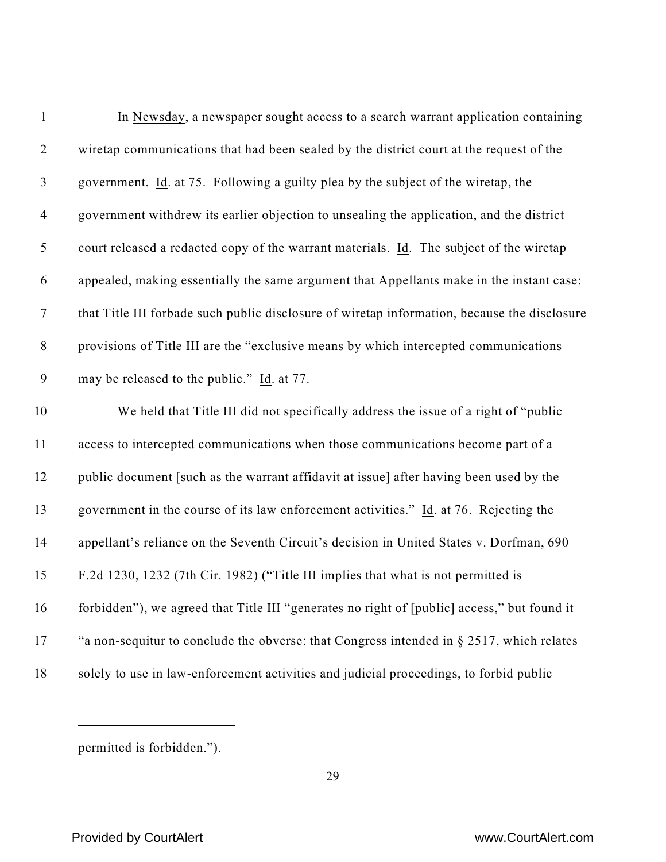| $\mathbf{1}$   | In Newsday, a newspaper sought access to a search warrant application containing             |
|----------------|----------------------------------------------------------------------------------------------|
| $\overline{2}$ | wiretap communications that had been sealed by the district court at the request of the      |
| $\mathfrak{Z}$ | government. Id. at 75. Following a guilty plea by the subject of the wiretap, the            |
| $\overline{4}$ | government withdrew its earlier objection to unsealing the application, and the district     |
| $\mathfrak s$  | court released a redacted copy of the warrant materials. Id. The subject of the wiretap      |
| 6              | appealed, making essentially the same argument that Appellants make in the instant case:     |
| $\tau$         | that Title III forbade such public disclosure of wiretap information, because the disclosure |
| $8\phantom{1}$ | provisions of Title III are the "exclusive means by which intercepted communications         |
| 9              | may be released to the public." Id. at 77.                                                   |
| 10             | We held that Title III did not specifically address the issue of a right of "public          |
| 11             | access to intercepted communications when those communications become part of a              |
| 12             | public document [such as the warrant affidavit at issue] after having been used by the       |
| 13             | government in the course of its law enforcement activities." Id. at 76. Rejecting the        |
| 14             | appellant's reliance on the Seventh Circuit's decision in United States v. Dorfman, 690      |
| 15             | F.2d 1230, 1232 (7th Cir. 1982) ("Title III implies that what is not permitted is            |
| 16             | forbidden"), we agreed that Title III "generates no right of [public] access," but found it  |
| 17             | "a non-sequitur to conclude the obverse: that Congress intended in $\S 2517$ , which relates |
| 18             | solely to use in law-enforcement activities and judicial proceedings, to forbid public       |

permitted is forbidden.").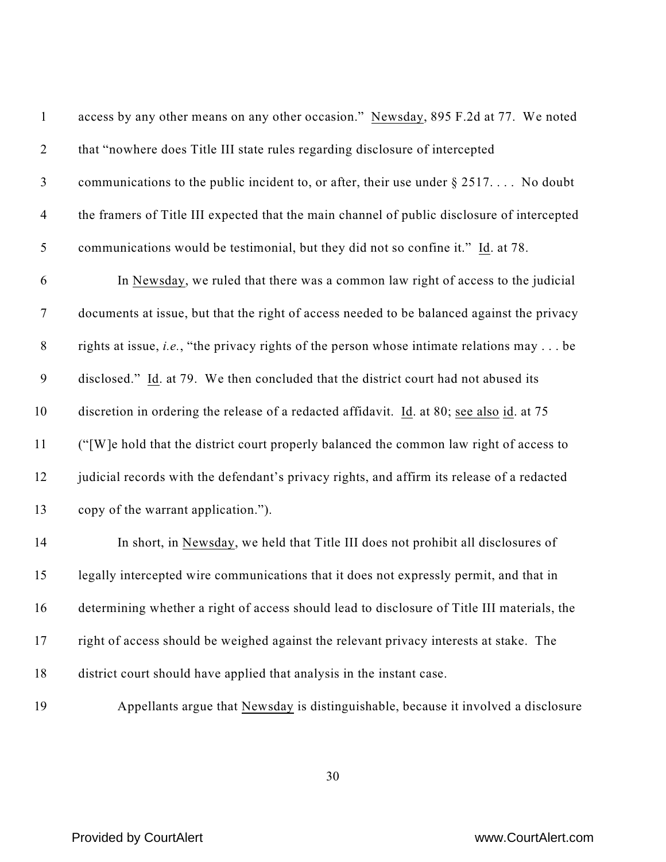| $\mathbf{1}$     | access by any other means on any other occasion." Newsday, 895 F.2d at 77. We noted                      |
|------------------|----------------------------------------------------------------------------------------------------------|
| $\overline{2}$   | that "nowhere does Title III state rules regarding disclosure of intercepted                             |
| $\mathfrak{Z}$   | communications to the public incident to, or after, their use under $\S 2517$ No doubt                   |
| $\overline{4}$   | the framers of Title III expected that the main channel of public disclosure of intercepted              |
| $\mathfrak{S}$   | communications would be testimonial, but they did not so confine it." Id. at 78.                         |
| 6                | In Newsday, we ruled that there was a common law right of access to the judicial                         |
| $\overline{7}$   | documents at issue, but that the right of access needed to be balanced against the privacy               |
| $\,8\,$          | rights at issue, <i>i.e.</i> , "the privacy rights of the person whose intimate relations may $\dots$ be |
| $\boldsymbol{9}$ | disclosed." Id. at 79. We then concluded that the district court had not abused its                      |
| 10               | discretion in ordering the release of a redacted affidavit. Id. at 80; see also id. at 75                |
| 11               | ("[W]e hold that the district court properly balanced the common law right of access to                  |
| 12               | judicial records with the defendant's privacy rights, and affirm its release of a redacted               |
| 13               | copy of the warrant application.").                                                                      |
| 14               | In short, in Newsday, we held that Title III does not prohibit all disclosures of                        |
| 15               | legally intercepted wire communications that it does not expressly permit, and that in                   |
| 16               | determining whether a right of access should lead to disclosure of Title III materials, the              |
| 17               | right of access should be weighed against the relevant privacy interests at stake. The                   |
| 18               | district court should have applied that analysis in the instant case.                                    |
| 19               | Appellants argue that Newsday is distinguishable, because it involved a disclosure                       |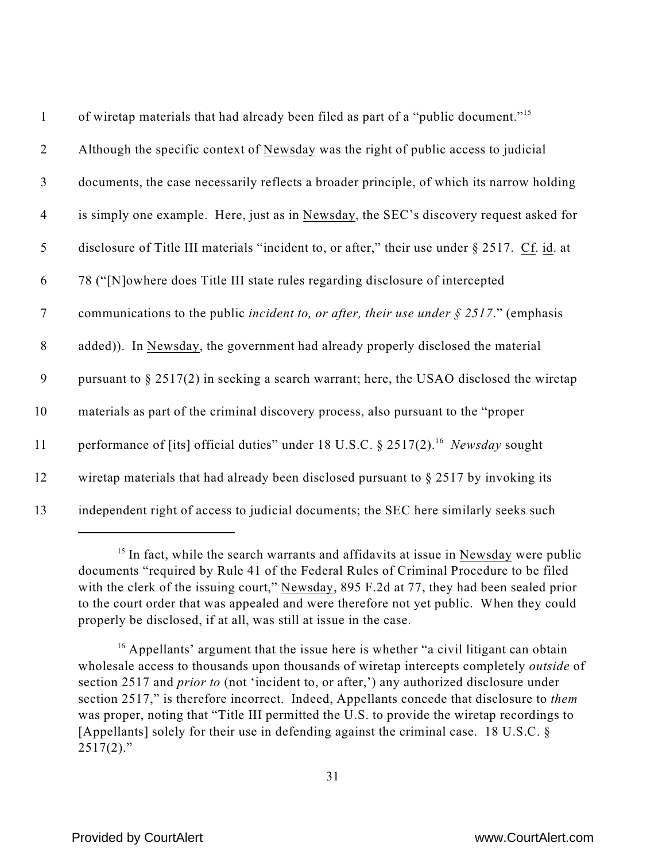| $\mathbf{1}$   | of wiretap materials that had already been filed as part of a "public document." <sup>15</sup>            |
|----------------|-----------------------------------------------------------------------------------------------------------|
| $\overline{2}$ | Although the specific context of Newsday was the right of public access to judicial                       |
| $\mathfrak{Z}$ | documents, the case necessarily reflects a broader principle, of which its narrow holding                 |
| $\overline{4}$ | is simply one example. Here, just as in Newsday, the SEC's discovery request asked for                    |
| 5              | disclosure of Title III materials "incident to, or after," their use under § 2517. Cf. id. at             |
| 6              | 78 ("[N] owhere does Title III state rules regarding disclosure of intercepted                            |
| $\tau$         | communications to the public <i>incident to, or after, their use under</i> $\frac{2517}{\cdot}$ (emphasis |
| 8              | added)). In Newsday, the government had already properly disclosed the material                           |
| 9              | pursuant to $\S 2517(2)$ in seeking a search warrant; here, the USAO disclosed the wiretap                |
| 10             | materials as part of the criminal discovery process, also pursuant to the "proper                         |
| 11             | performance of [its] official duties" under 18 U.S.C. § 2517(2). <sup>16</sup> Newsday sought             |
| 12             | wiretap materials that had already been disclosed pursuant to $\S 2517$ by invoking its                   |
| 13             | independent right of access to judicial documents; the SEC here similarly seeks such                      |

 $15$  In fact, while the search warrants and affidavits at issue in Newsday were public documents "required by Rule 41 of the Federal Rules of Criminal Procedure to be filed with the clerk of the issuing court," Newsday, 895 F.2d at 77, they had been sealed prior to the court order that was appealed and were therefore not yet public. When they could properly be disclosed, if at all, was still at issue in the case.

 $16$  Appellants' argument that the issue here is whether "a civil litigant can obtain wholesale access to thousands upon thousands of wiretap intercepts completely *outside* of section 2517 and *prior to* (not 'incident to, or after,') any authorized disclosure under section 2517," is therefore incorrect. Indeed, Appellants concede that disclosure to *them* was proper, noting that "Title III permitted the U.S. to provide the wiretap recordings to [Appellants] solely for their use in defending against the criminal case. 18 U.S.C.  $\delta$  $2517(2)$ ."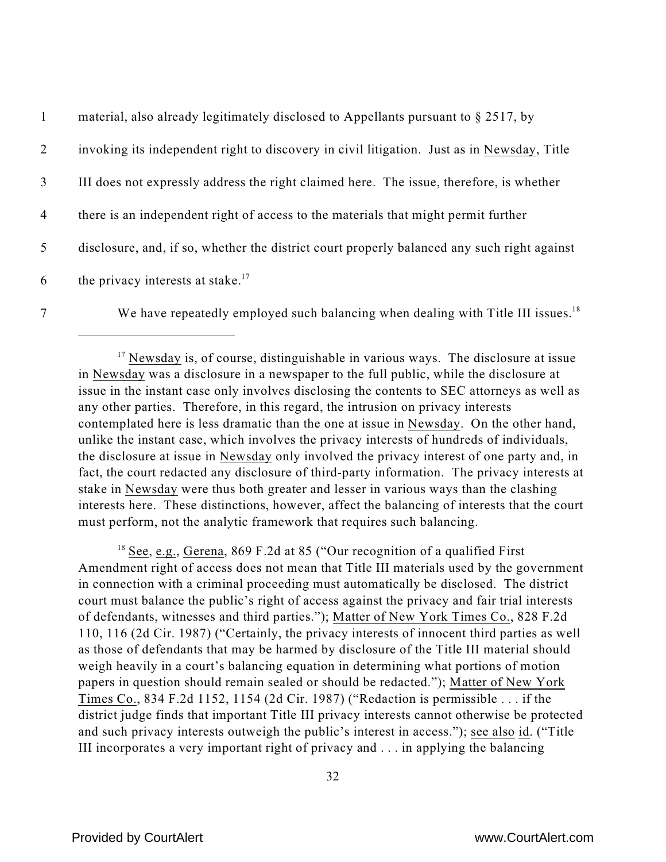|   | material, also already legitimately disclosed to Appellants pursuant to $\S 2517$ , by      |
|---|---------------------------------------------------------------------------------------------|
| 2 | invoking its independent right to discovery in civil litigation. Just as in Newsday, Title  |
| 3 | III does not expressly address the right claimed here. The issue, therefore, is whether     |
| 4 | there is an independent right of access to the materials that might permit further          |
| 5 | disclosure, and, if so, whether the district court properly balanced any such right against |
| 6 | the privacy interests at stake. <sup>17</sup>                                               |

7 We have repeatedly employed such balancing when dealing with Title III issues.<sup>18</sup>

<sup>18</sup> See, e.g., Gerena, 869 F.2d at 85 ("Our recognition of a qualified First Amendment right of access does not mean that Title III materials used by the government in connection with a criminal proceeding must automatically be disclosed. The district court must balance the public's right of access against the privacy and fair trial interests of defendants, witnesses and third parties."); Matter of New York Times Co., 828 F.2d 110, 116 (2d Cir. 1987) ("Certainly, the privacy interests of innocent third parties as well as those of defendants that may be harmed by disclosure of the Title III material should weigh heavily in a court's balancing equation in determining what portions of motion papers in question should remain sealed or should be redacted."); Matter of New York Times Co., 834 F.2d 1152, 1154 (2d Cir. 1987) ("Redaction is permissible . . . if the district judge finds that important Title III privacy interests cannot otherwise be protected and such privacy interests outweigh the public's interest in access."); see also id. ("Title III incorporates a very important right of privacy and . . . in applying the balancing

 $17$  Newsday is, of course, distinguishable in various ways. The disclosure at issue in Newsday was a disclosure in a newspaper to the full public, while the disclosure at issue in the instant case only involves disclosing the contents to SEC attorneys as well as any other parties. Therefore, in this regard, the intrusion on privacy interests contemplated here is less dramatic than the one at issue in Newsday. On the other hand, unlike the instant case, which involves the privacy interests of hundreds of individuals, the disclosure at issue in Newsday only involved the privacy interest of one party and, in fact, the court redacted any disclosure of third-party information. The privacy interests at stake in Newsday were thus both greater and lesser in various ways than the clashing interests here. These distinctions, however, affect the balancing of interests that the court must perform, not the analytic framework that requires such balancing.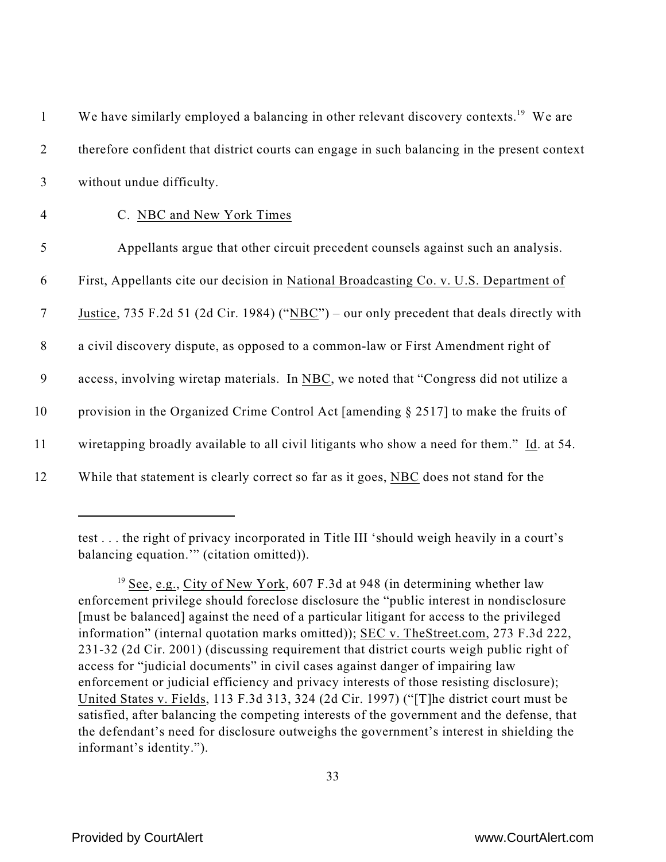| $\mathbf{1}$   | We have similarly employed a balancing in other relevant discovery contexts. <sup>19</sup> We are |
|----------------|---------------------------------------------------------------------------------------------------|
| 2              | therefore confident that district courts can engage in such balancing in the present context      |
| $\mathfrak{Z}$ | without undue difficulty.                                                                         |
| $\overline{4}$ | C. NBC and New York Times                                                                         |
| 5              | Appellants argue that other circuit precedent counsels against such an analysis.                  |
| 6              | First, Appellants cite our decision in National Broadcasting Co. v. U.S. Department of            |
| $\tau$         | Justice, 735 F.2d 51 (2d Cir. 1984) ("NBC") – our only precedent that deals directly with         |
| $8\phantom{.}$ | a civil discovery dispute, as opposed to a common-law or First Amendment right of                 |
| 9              | access, involving wiretap materials. In NBC, we noted that "Congress did not utilize a            |
| 10             | provision in the Organized Crime Control Act [amending § 2517] to make the fruits of              |
| 11             | wiretapping broadly available to all civil litigants who show a need for them." Id. at 54.        |
| 12             | While that statement is clearly correct so far as it goes, NBC does not stand for the             |

test . . . the right of privacy incorporated in Title III 'should weigh heavily in a court's balancing equation.'" (citation omitted)).

 $19$  See, e.g., City of New York, 607 F.3d at 948 (in determining whether law enforcement privilege should foreclose disclosure the "public interest in nondisclosure [must be balanced] against the need of a particular litigant for access to the privileged information" (internal quotation marks omitted)); SEC v. TheStreet.com, 273 F.3d 222, 231-32 (2d Cir. 2001) (discussing requirement that district courts weigh public right of access for "judicial documents" in civil cases against danger of impairing law enforcement or judicial efficiency and privacy interests of those resisting disclosure); United States v. Fields, 113 F.3d 313, 324 (2d Cir. 1997) ("[T]he district court must be satisfied, after balancing the competing interests of the government and the defense, that the defendant's need for disclosure outweighs the government's interest in shielding the informant's identity.").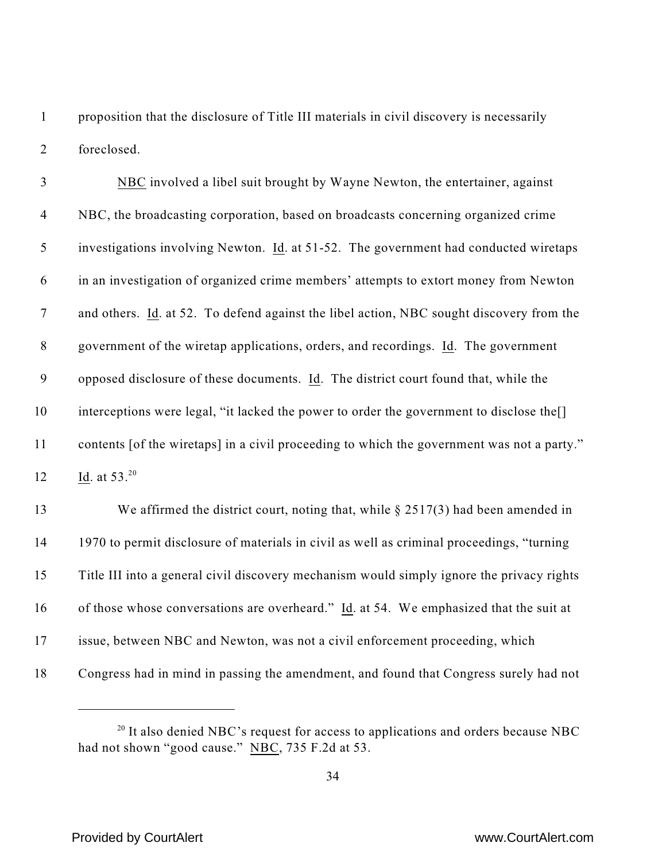proposition that the disclosure of Title III materials in civil discovery is necessarily foreclosed.

| $\mathfrak{Z}$ | NBC involved a libel suit brought by Wayne Newton, the entertainer, against                |
|----------------|--------------------------------------------------------------------------------------------|
| $\overline{4}$ | NBC, the broadcasting corporation, based on broadcasts concerning organized crime          |
| 5              | investigations involving Newton. Id. at 51-52. The government had conducted wiretaps       |
| 6              | in an investigation of organized crime members' attempts to extort money from Newton       |
| $\overline{7}$ | and others. Id. at 52. To defend against the libel action, NBC sought discovery from the   |
| $8\,$          | government of the wiretap applications, orders, and recordings. Id. The government         |
| 9              | opposed disclosure of these documents. Id. The district court found that, while the        |
| 10             | interceptions were legal, "it lacked the power to order the government to disclose the.    |
| 11             | contents [of the wiretaps] in a civil proceeding to which the government was not a party." |
| 12             | Id. at $53.^{20}$                                                                          |
| 13             | We affirmed the district court, noting that, while $\S 2517(3)$ had been amended in        |
| 14             | 1970 to permit disclosure of materials in civil as well as criminal proceedings, "turning  |
| 15             | Title III into a general civil discovery mechanism would simply ignore the privacy rights  |
| 16             | of those whose conversations are overheard." Id. at 54. We emphasized that the suit at     |
|                |                                                                                            |

issue, between NBC and Newton, was not a civil enforcement proceeding, which

Congress had in mind in passing the amendment, and found that Congress surely had not

 It also denied NBC's request for access to applications and orders because NBC had not shown "good cause." NBC, 735 F.2d at 53.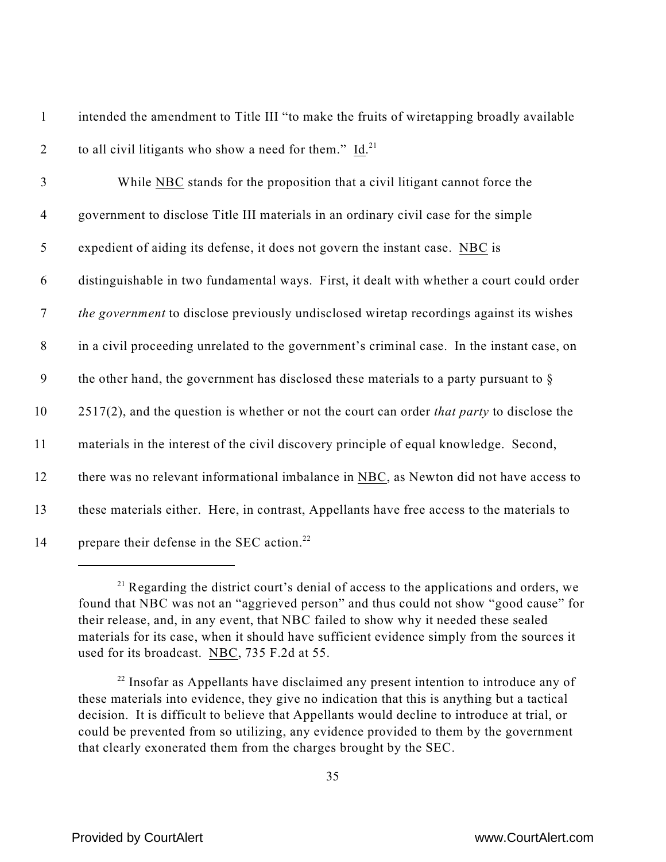1 intended the amendment to Title III "to make the fruits of wiretapping broadly available 2 to all civil litigants who show a need for them."  $Id.$ <sup>21</sup>

 While NBC stands for the proposition that a civil litigant cannot force the government to disclose Title III materials in an ordinary civil case for the simple expedient of aiding its defense, it does not govern the instant case. NBC is distinguishable in two fundamental ways. First, it dealt with whether a court could order *the government* to disclose previously undisclosed wiretap recordings against its wishes in a civil proceeding unrelated to the government's criminal case. In the instant case, on the other hand, the government has disclosed these materials to a party pursuant to § 2517(2), and the question is whether or not the court can order *that party* to disclose the materials in the interest of the civil discovery principle of equal knowledge. Second, there was no relevant informational imbalance in NBC, as Newton did not have access to these materials either. Here, in contrast, Appellants have free access to the materials to 14 prepare their defense in the SEC action.<sup>22</sup>

 $21$  Regarding the district court's denial of access to the applications and orders, we found that NBC was not an "aggrieved person" and thus could not show "good cause" for their release, and, in any event, that NBC failed to show why it needed these sealed materials for its case, when it should have sufficient evidence simply from the sources it used for its broadcast. NBC, 735 F.2d at 55.

 $22$  Insofar as Appellants have disclaimed any present intention to introduce any of these materials into evidence, they give no indication that this is anything but a tactical decision. It is difficult to believe that Appellants would decline to introduce at trial, or could be prevented from so utilizing, any evidence provided to them by the government that clearly exonerated them from the charges brought by the SEC.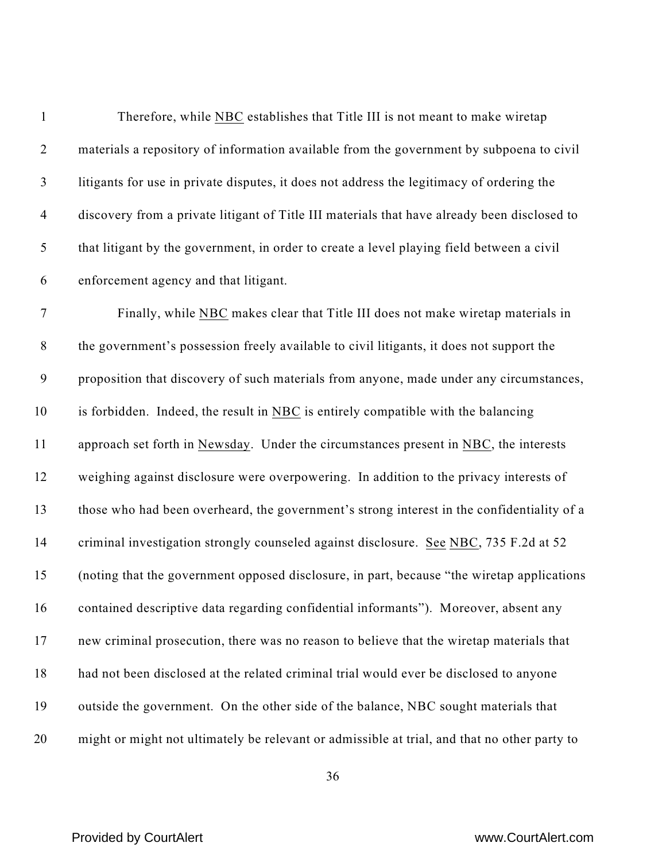| $\mathbf{1}$     | Therefore, while NBC establishes that Title III is not meant to make wiretap                 |
|------------------|----------------------------------------------------------------------------------------------|
| $\overline{2}$   | materials a repository of information available from the government by subpoena to civil     |
| $\mathfrak{Z}$   | litigants for use in private disputes, it does not address the legitimacy of ordering the    |
| $\overline{4}$   | discovery from a private litigant of Title III materials that have already been disclosed to |
| 5                | that litigant by the government, in order to create a level playing field between a civil    |
| 6                | enforcement agency and that litigant.                                                        |
| $\boldsymbol{7}$ | Finally, while NBC makes clear that Title III does not make wiretap materials in             |
| $8\,$            | the government's possession freely available to civil litigants, it does not support the     |
| $\boldsymbol{9}$ | proposition that discovery of such materials from anyone, made under any circumstances,      |
| 10               | is forbidden. Indeed, the result in NBC is entirely compatible with the balancing            |
| 11               | approach set forth in Newsday. Under the circumstances present in NBC, the interests         |
| 12               | weighing against disclosure were overpowering. In addition to the privacy interests of       |
| 13               | those who had been overheard, the government's strong interest in the confidentiality of a   |
| 14               | criminal investigation strongly counseled against disclosure. See NBC, 735 F.2d at 52        |
| 15               | (noting that the government opposed disclosure, in part, because "the wiretap applications") |
| 16               | contained descriptive data regarding confidential informants"). Moreover, absent any         |
| 17               | new criminal prosecution, there was no reason to believe that the wiretap materials that     |
| 18               | had not been disclosed at the related criminal trial would ever be disclosed to anyone       |
| 19               | outside the government. On the other side of the balance, NBC sought materials that          |
| 20               | might or might not ultimately be relevant or admissible at trial, and that no other party to |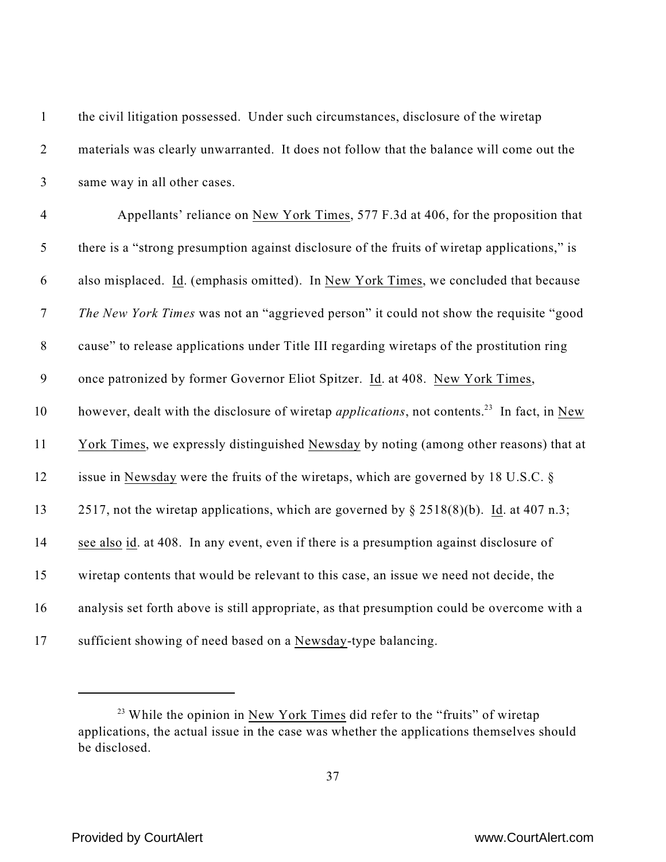| $\mathbf{1}$     | the civil litigation possessed. Under such circumstances, disclosure of the wiretap                             |
|------------------|-----------------------------------------------------------------------------------------------------------------|
| $\overline{2}$   | materials was clearly unwarranted. It does not follow that the balance will come out the                        |
| $\mathfrak{Z}$   | same way in all other cases.                                                                                    |
| $\overline{4}$   | Appellants' reliance on New York Times, 577 F.3d at 406, for the proposition that                               |
| 5                | there is a "strong presumption against disclosure of the fruits of wiretap applications," is                    |
| 6                | also misplaced. Id. (emphasis omitted). In New York Times, we concluded that because                            |
| $\boldsymbol{7}$ | The New York Times was not an "aggrieved person" it could not show the requisite "good                          |
| $8\,$            | cause" to release applications under Title III regarding wiretaps of the prostitution ring                      |
| $\mathbf{9}$     | once patronized by former Governor Eliot Spitzer. Id. at 408. New York Times,                                   |
| 10               | however, dealt with the disclosure of wiretap <i>applications</i> , not contents. <sup>23</sup> In fact, in New |
| 11               | York Times, we expressly distinguished Newsday by noting (among other reasons) that at                          |
| 12               | issue in Newsday were the fruits of the wiretaps, which are governed by 18 U.S.C. §                             |
| 13               | 2517, not the wiretap applications, which are governed by $\S$ 2518(8)(b). Id. at 407 n.3;                      |
| 14               | see also id. at 408. In any event, even if there is a presumption against disclosure of                         |
| 15               | wiretap contents that would be relevant to this case, an issue we need not decide, the                          |
| 16               | analysis set forth above is still appropriate, as that presumption could be overcome with a                     |
| 17               | sufficient showing of need based on a Newsday-type balancing.                                                   |

 $23$  While the opinion in New York Times did refer to the "fruits" of wiretap applications, the actual issue in the case was whether the applications themselves should be disclosed.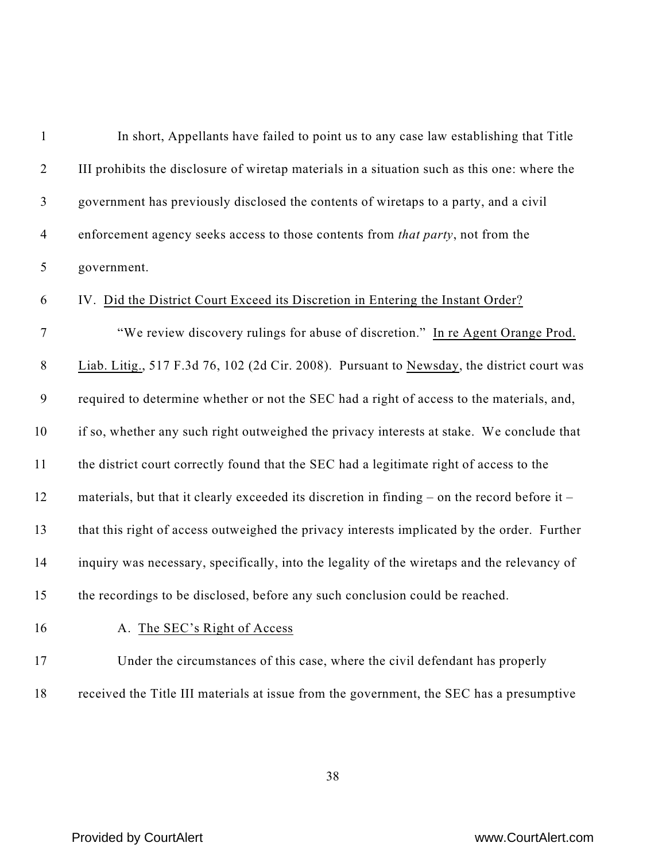| $\mathbf{1}$     | In short, Appellants have failed to point us to any case law establishing that Title          |
|------------------|-----------------------------------------------------------------------------------------------|
| $\overline{2}$   | III prohibits the disclosure of wiretap materials in a situation such as this one: where the  |
| $\mathfrak{Z}$   | government has previously disclosed the contents of wiretaps to a party, and a civil          |
| $\overline{4}$   | enforcement agency seeks access to those contents from that party, not from the               |
| 5                | government.                                                                                   |
| 6                | IV. Did the District Court Exceed its Discretion in Entering the Instant Order?               |
| $\tau$           | "We review discovery rulings for abuse of discretion." In re Agent Orange Prod.               |
| $8\,$            | Liab. Litig., 517 F.3d 76, 102 (2d Cir. 2008). Pursuant to Newsday, the district court was    |
| $\boldsymbol{9}$ | required to determine whether or not the SEC had a right of access to the materials, and,     |
| 10               | if so, whether any such right outweighed the privacy interests at stake. We conclude that     |
| 11               | the district court correctly found that the SEC had a legitimate right of access to the       |
| 12               | materials, but that it clearly exceeded its discretion in finding – on the record before it – |
| 13               | that this right of access outweighed the privacy interests implicated by the order. Further   |
| 14               | inquiry was necessary, specifically, into the legality of the wiretaps and the relevancy of   |
| 15               | the recordings to be disclosed, before any such conclusion could be reached.                  |
| 16               | A. The SEC's Right of Access                                                                  |
| 17               | Under the circumstances of this case, where the civil defendant has properly                  |
| 18               | received the Title III materials at issue from the government, the SEC has a presumptive      |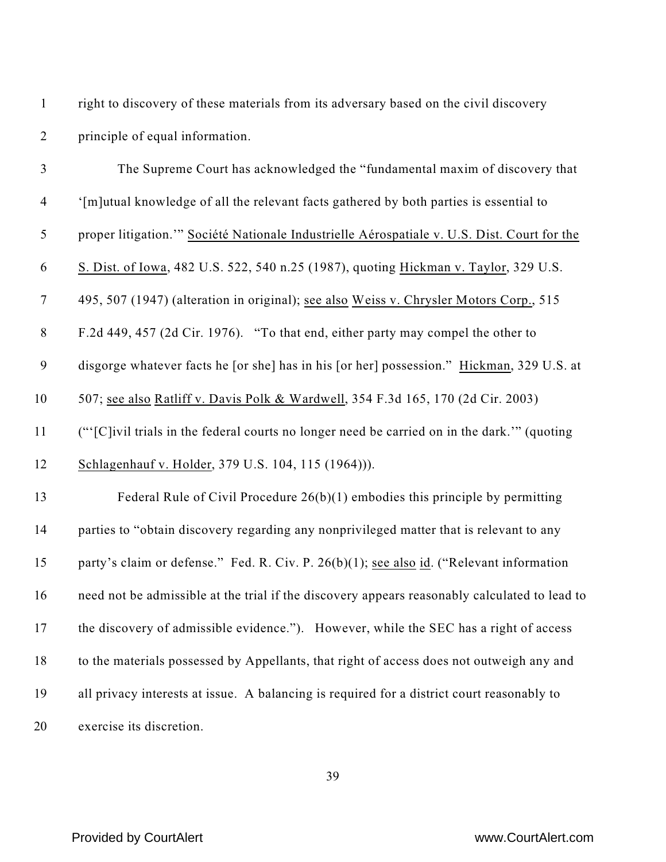| $\overline{2}$   | principle of equal information.                                                               |
|------------------|-----------------------------------------------------------------------------------------------|
| $\mathfrak{Z}$   | The Supreme Court has acknowledged the "fundamental maxim of discovery that                   |
| $\overline{4}$   | '[m]utual knowledge of all the relevant facts gathered by both parties is essential to        |
| 5                | proper litigation." Société Nationale Industrielle Aérospatiale v. U.S. Dist. Court for the   |
| 6                | S. Dist. of Iowa, 482 U.S. 522, 540 n.25 (1987), quoting Hickman v. Taylor, 329 U.S.          |
| $\boldsymbol{7}$ | 495, 507 (1947) (alteration in original); see also Weiss v. Chrysler Motors Corp., 515        |
| $8\,$            | F.2d 449, 457 (2d Cir. 1976). "To that end, either party may compel the other to              |
| $\boldsymbol{9}$ | disgorge whatever facts he [or she] has in his [or her] possession." Hickman, 329 U.S. at     |
| 10               | 507; see also Ratliff v. Davis Polk & Wardwell, 354 F.3d 165, 170 (2d Cir. 2003)              |
| 11               | ("'[C]ivil trials in the federal courts no longer need be carried on in the dark."" (quoting  |
| 12               | Schlagenhauf v. Holder, 379 U.S. 104, 115 (1964)).                                            |
| 13               | Federal Rule of Civil Procedure $26(b)(1)$ embodies this principle by permitting              |
| 14               | parties to "obtain discovery regarding any nonprivileged matter that is relevant to any       |
| 15               | party's claim or defense." Fed. R. Civ. P. 26(b)(1); see also id. ("Relevant information      |
| 16               | need not be admissible at the trial if the discovery appears reasonably calculated to lead to |
| 17               | the discovery of admissible evidence."). However, while the SEC has a right of access         |
| 18               | to the materials possessed by Appellants, that right of access does not outweigh any and      |
| 19               | all privacy interests at issue. A balancing is required for a district court reasonably to    |
| 20               | exercise its discretion.                                                                      |

right to discovery of these materials from its adversary based on the civil discovery

## Provided by CourtAlert **With Court Alexander Court Alexander Court Alexander Court Alexander Court Alexander Court Alexander Court Alexander Court Alexander Court Alexander Court Alexander Court Alexander Court Alexander C**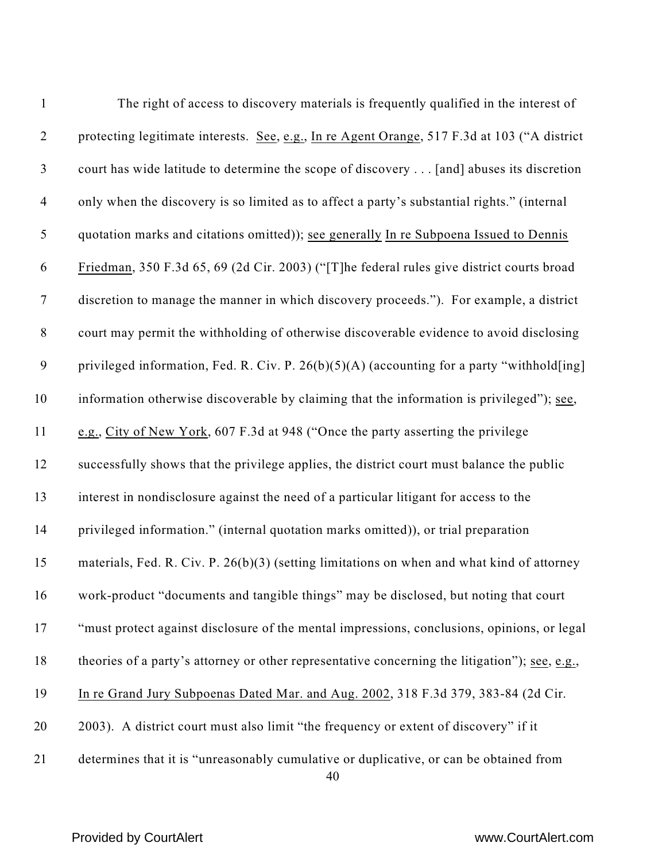| $\mathbf{1}$     | The right of access to discovery materials is frequently qualified in the interest of          |
|------------------|------------------------------------------------------------------------------------------------|
| $\overline{2}$   | protecting legitimate interests. See, e.g., In re Agent Orange, 517 F.3d at 103 ("A district   |
| $\mathfrak{Z}$   | court has wide latitude to determine the scope of discovery [and] abuses its discretion        |
| $\overline{4}$   | only when the discovery is so limited as to affect a party's substantial rights." (internal    |
| 5                | quotation marks and citations omitted)); see generally In re Subpoena Issued to Dennis         |
| 6                | Friedman, 350 F.3d 65, 69 (2d Cir. 2003) ("[T]he federal rules give district courts broad      |
| $\boldsymbol{7}$ | discretion to manage the manner in which discovery proceeds."). For example, a district        |
| $8\,$            | court may permit the withholding of otherwise discoverable evidence to avoid disclosing        |
| 9                | privileged information, Fed. R. Civ. P. 26(b)(5)(A) (accounting for a party "withhold[ing]     |
| 10               | information otherwise discoverable by claiming that the information is privileged"); see,      |
| 11               | e.g., City of New York, 607 F.3d at 948 ("Once the party asserting the privilege               |
| 12               | successfully shows that the privilege applies, the district court must balance the public      |
| 13               | interest in nondisclosure against the need of a particular litigant for access to the          |
| 14               | privileged information." (internal quotation marks omitted)), or trial preparation             |
| 15               | materials, Fed. R. Civ. P. $26(b)(3)$ (setting limitations on when and what kind of attorney   |
| 16               | work-product "documents and tangible things" may be disclosed, but noting that court           |
| 17               | "must protect against disclosure of the mental impressions, conclusions, opinions, or legal    |
| 18               | theories of a party's attorney or other representative concerning the litigation"); see, e.g., |
| 19               | In re Grand Jury Subpoenas Dated Mar. and Aug. 2002, 318 F.3d 379, 383-84 (2d Cir.             |
| 20               | 2003). A district court must also limit "the frequency or extent of discovery" if it           |
| 21               | determines that it is "unreasonably cumulative or duplicative, or can be obtained from         |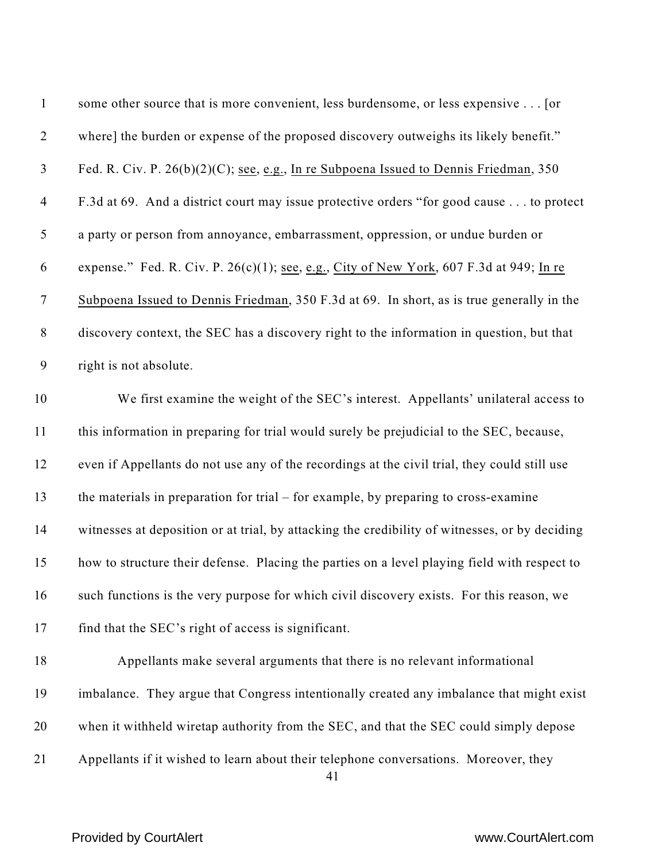| $\mathbf{1}$   | some other source that is more convenient, less burdensome, or less expensive [or              |
|----------------|------------------------------------------------------------------------------------------------|
| $\overline{2}$ | where] the burden or expense of the proposed discovery outweighs its likely benefit."          |
| $\mathfrak{Z}$ | Fed. R. Civ. P. 26(b)(2)(C); see, e.g., In re Subpoena Issued to Dennis Friedman, 350          |
| $\overline{4}$ | F.3d at 69. And a district court may issue protective orders "for good cause to protect        |
| 5              | a party or person from annoyance, embarrassment, oppression, or undue burden or                |
| 6              | expense." Fed. R. Civ. P. $26(c)(1)$ ; see, e.g., City of New York, 607 F.3d at 949; In re     |
| $\tau$         | Subpoena Issued to Dennis Friedman, 350 F.3d at 69. In short, as is true generally in the      |
| $8\,$          | discovery context, the SEC has a discovery right to the information in question, but that      |
| $\mathbf{9}$   | right is not absolute.                                                                         |
| 10             | We first examine the weight of the SEC's interest. Appellants' unilateral access to            |
| 11             | this information in preparing for trial would surely be prejudicial to the SEC, because,       |
| 12             | even if Appellants do not use any of the recordings at the civil trial, they could still use   |
| 13             | the materials in preparation for trial $-$ for example, by preparing to cross-examine          |
| 14             | witnesses at deposition or at trial, by attacking the credibility of witnesses, or by deciding |
| 15             | how to structure their defense. Placing the parties on a level playing field with respect to   |
| 16             | such functions is the very purpose for which civil discovery exists. For this reason, we       |
| 17             | find that the SEC's right of access is significant.                                            |
| 18             | Appellants make several arguments that there is no relevant informational                      |
| 19             | imbalance. They argue that Congress intentionally created any imbalance that might exist       |
| 20             | when it withheld wiretap authority from the SEC, and that the SEC could simply depose          |
| 21             | Appellants if it wished to learn about their telephone conversations. Moreover, they<br>41     |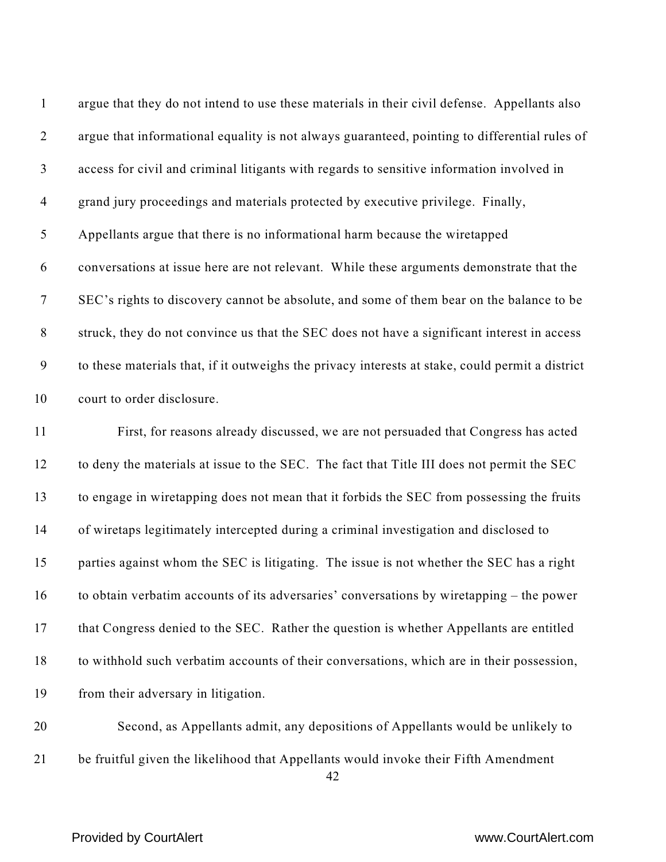| $\mathbf{1}$     | argue that they do not intend to use these materials in their civil defense. Appellants also     |
|------------------|--------------------------------------------------------------------------------------------------|
| $\overline{2}$   | argue that informational equality is not always guaranteed, pointing to differential rules of    |
| $\mathfrak{Z}$   | access for civil and criminal litigants with regards to sensitive information involved in        |
| $\overline{4}$   | grand jury proceedings and materials protected by executive privilege. Finally,                  |
| 5                | Appellants argue that there is no informational harm because the wiretapped                      |
| 6                | conversations at issue here are not relevant. While these arguments demonstrate that the         |
| $\overline{7}$   | SEC's rights to discovery cannot be absolute, and some of them bear on the balance to be         |
| $8\phantom{1}$   | struck, they do not convince us that the SEC does not have a significant interest in access      |
| $\boldsymbol{9}$ | to these materials that, if it outweighs the privacy interests at stake, could permit a district |
| 10               | court to order disclosure.                                                                       |
| 11               | First, for reasons already discussed, we are not persuaded that Congress has acted               |
| 12               | to deny the materials at issue to the SEC. The fact that Title III does not permit the SEC       |
| 13               | to engage in wiretapping does not mean that it forbids the SEC from possessing the fruits        |
| 14               | of wiretaps legitimately intercepted during a criminal investigation and disclosed to            |
| 15               | parties against whom the SEC is litigating. The issue is not whether the SEC has a right         |
| 16               | to obtain verbatim accounts of its adversaries' conversations by wiretapping – the power         |
| 17               | that Congress denied to the SEC. Rather the question is whether Appellants are entitled          |
| 18               | to withhold such verbatim accounts of their conversations, which are in their possession,        |
| 19               | from their adversary in litigation.                                                              |
| 20               | Second, as Appellants admit, any depositions of Appellants would be unlikely to                  |
|                  |                                                                                                  |

be fruitful given the likelihood that Appellants would invoke their Fifth Amendment

## Provided by CourtAlert **WALER COUPS ASSESSED ASSESSED** www.CourtAlert.com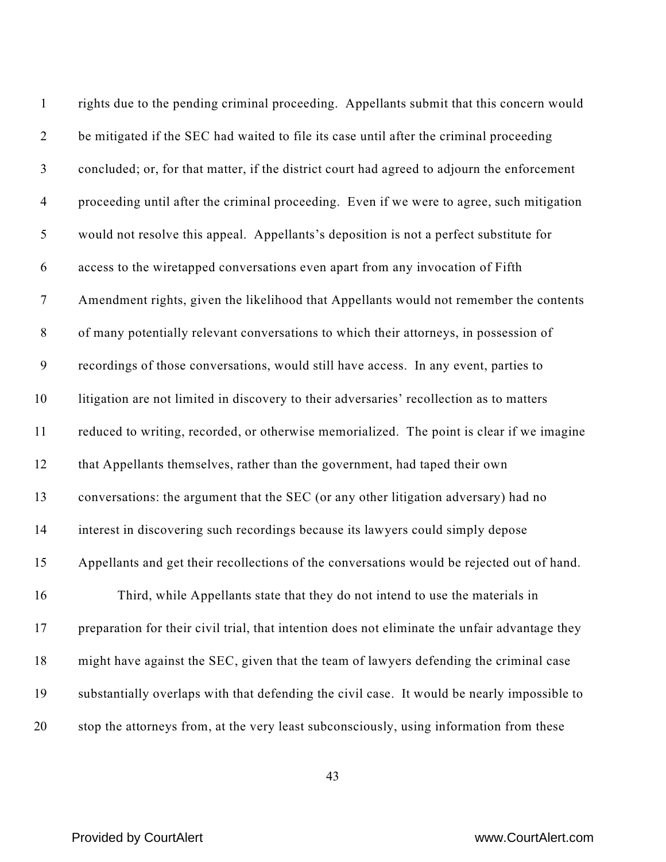| $\mathbf{1}$   | rights due to the pending criminal proceeding. Appellants submit that this concern would       |
|----------------|------------------------------------------------------------------------------------------------|
| $\overline{2}$ | be mitigated if the SEC had waited to file its case until after the criminal proceeding        |
| $\mathfrak{Z}$ | concluded; or, for that matter, if the district court had agreed to adjourn the enforcement    |
| $\overline{4}$ | proceeding until after the criminal proceeding. Even if we were to agree, such mitigation      |
| $\mathfrak s$  | would not resolve this appeal. Appellants's deposition is not a perfect substitute for         |
| 6              | access to the wiretapped conversations even apart from any invocation of Fifth                 |
| $\tau$         | Amendment rights, given the likelihood that Appellants would not remember the contents         |
| $\,8\,$        | of many potentially relevant conversations to which their attorneys, in possession of          |
| 9              | recordings of those conversations, would still have access. In any event, parties to           |
| 10             | litigation are not limited in discovery to their adversaries' recollection as to matters       |
| 11             | reduced to writing, recorded, or otherwise memorialized. The point is clear if we imagine      |
| 12             | that Appellants themselves, rather than the government, had taped their own                    |
| 13             | conversations: the argument that the SEC (or any other litigation adversary) had no            |
| 14             | interest in discovering such recordings because its lawyers could simply depose                |
| 15             | Appellants and get their recollections of the conversations would be rejected out of hand.     |
| 16             | Third, while Appellants state that they do not intend to use the materials in                  |
| 17             | preparation for their civil trial, that intention does not eliminate the unfair advantage they |
| 18             | might have against the SEC, given that the team of lawyers defending the criminal case         |
| 19             | substantially overlaps with that defending the civil case. It would be nearly impossible to    |
| 20             | stop the attorneys from, at the very least subconsciously, using information from these        |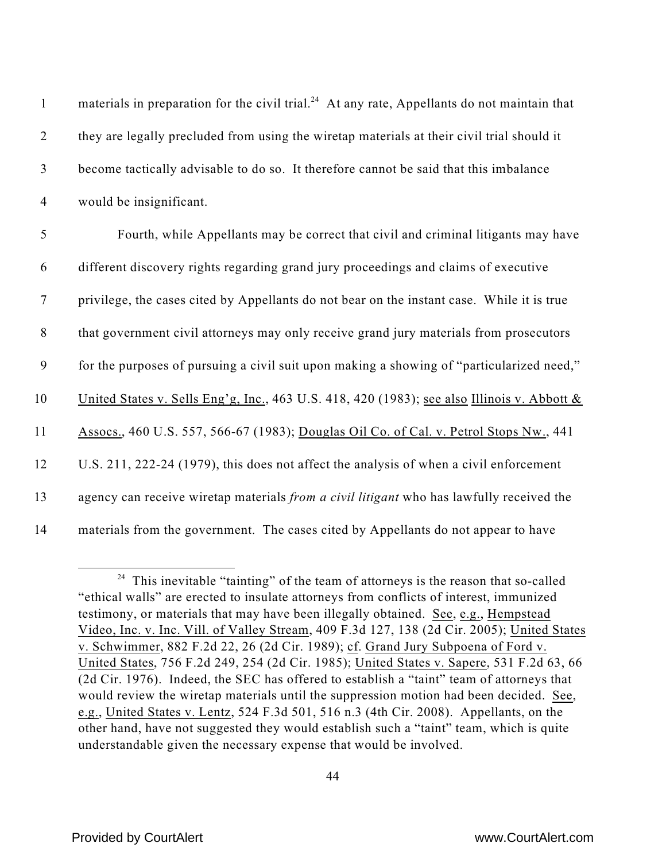| $\mathbf{1}$   | materials in preparation for the civil trial. <sup>24</sup> At any rate, Appellants do not maintain that |
|----------------|----------------------------------------------------------------------------------------------------------|
| $\overline{2}$ | they are legally precluded from using the wiretap materials at their civil trial should it               |
| $\mathfrak{Z}$ | become tactically advisable to do so. It therefore cannot be said that this imbalance                    |
| $\overline{4}$ | would be insignificant.                                                                                  |
| 5              | Fourth, while Appellants may be correct that civil and criminal litigants may have                       |
| 6              | different discovery rights regarding grand jury proceedings and claims of executive                      |
| $\overline{7}$ | privilege, the cases cited by Appellants do not bear on the instant case. While it is true               |
| $8\,$          | that government civil attorneys may only receive grand jury materials from prosecutors                   |
| 9              | for the purposes of pursuing a civil suit upon making a showing of "particularized need,"                |
| 10             | United States v. Sells Eng'g, Inc., 463 U.S. 418, 420 (1983); see also Illinois v. Abbott $\&$           |
| 11             | Assocs., 460 U.S. 557, 566-67 (1983); Douglas Oil Co. of Cal. v. Petrol Stops Nw., 441                   |
| 12             | U.S. 211, 222-24 (1979), this does not affect the analysis of when a civil enforcement                   |
| 13             | agency can receive wiretap materials from a civil litigant who has lawfully received the                 |
| 14             | materials from the government. The cases cited by Appellants do not appear to have                       |

 $24$  This inevitable "tainting" of the team of attorneys is the reason that so-called "ethical walls" are erected to insulate attorneys from conflicts of interest, immunized testimony, or materials that may have been illegally obtained. See, e.g., Hempstead Video, Inc. v. Inc. Vill. of Valley Stream, 409 F.3d 127, 138 (2d Cir. 2005); United States v. Schwimmer, 882 F.2d 22, 26 (2d Cir. 1989); cf. Grand Jury Subpoena of Ford v. United States, 756 F.2d 249, 254 (2d Cir. 1985); United States v. Sapere, 531 F.2d 63, 66 (2d Cir. 1976). Indeed, the SEC has offered to establish a "taint" team of attorneys that would review the wiretap materials until the suppression motion had been decided. See, e.g., United States v. Lentz, 524 F.3d 501, 516 n.3 (4th Cir. 2008). Appellants, on the other hand, have not suggested they would establish such a "taint" team, which is quite understandable given the necessary expense that would be involved.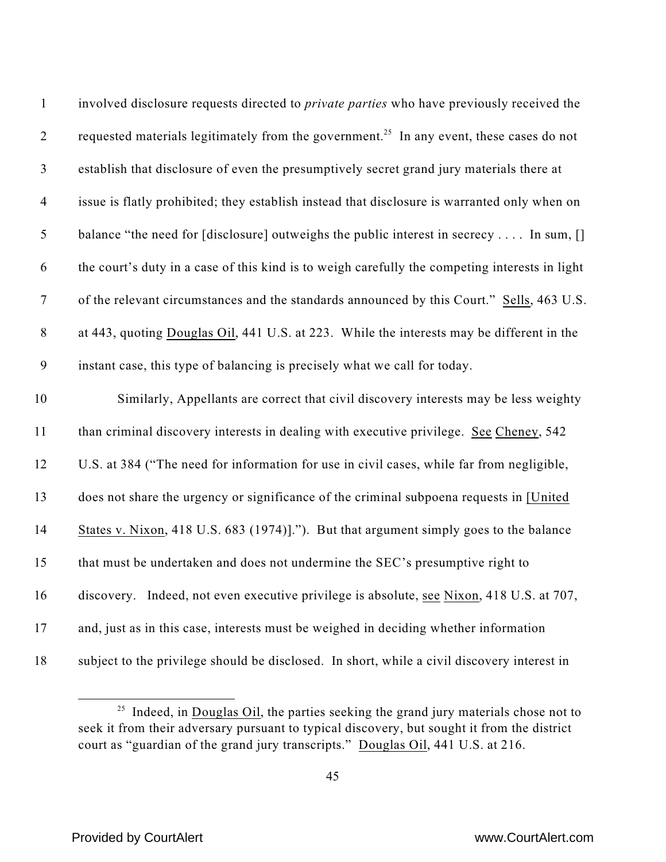| $\mathbf{1}$   | involved disclosure requests directed to <i>private parties</i> who have previously received the     |
|----------------|------------------------------------------------------------------------------------------------------|
| $\overline{2}$ | requested materials legitimately from the government. <sup>25</sup> In any event, these cases do not |
| $\mathfrak{Z}$ | establish that disclosure of even the presumptively secret grand jury materials there at             |
| $\overline{4}$ | issue is flatly prohibited; they establish instead that disclosure is warranted only when on         |
| $\mathfrak{S}$ | balance "the need for [disclosure] outweighs the public interest in secrecy  In sum, []              |
| 6              | the court's duty in a case of this kind is to weigh carefully the competing interests in light       |
| $\overline{7}$ | of the relevant circumstances and the standards announced by this Court." Sells, 463 U.S.            |
| $\,8\,$        | at 443, quoting Douglas Oil, 441 U.S. at 223. While the interests may be different in the            |
| 9              | instant case, this type of balancing is precisely what we call for today.                            |
| 10             | Similarly, Appellants are correct that civil discovery interests may be less weighty                 |
| 11             | than criminal discovery interests in dealing with executive privilege. See Cheney, 542               |
| 12             | U.S. at 384 ("The need for information for use in civil cases, while far from negligible,            |
| 13             | does not share the urgency or significance of the criminal subpoena requests in [United]             |
| 14             | States v. Nixon, 418 U.S. 683 (1974)]."). But that argument simply goes to the balance               |
| 15             | that must be undertaken and does not undermine the SEC's presumptive right to                        |
| 16             | discovery. Indeed, not even executive privilege is absolute, see Nixon, 418 U.S. at 707,             |
| 17             | and, just as in this case, interests must be weighed in deciding whether information                 |
| 18             | subject to the privilege should be disclosed. In short, while a civil discovery interest in          |

<sup>&</sup>lt;sup>25</sup> Indeed, in **Douglas Oil**, the parties seeking the grand jury materials chose not to seek it from their adversary pursuant to typical discovery, but sought it from the district court as "guardian of the grand jury transcripts." Douglas Oil, 441 U.S. at 216.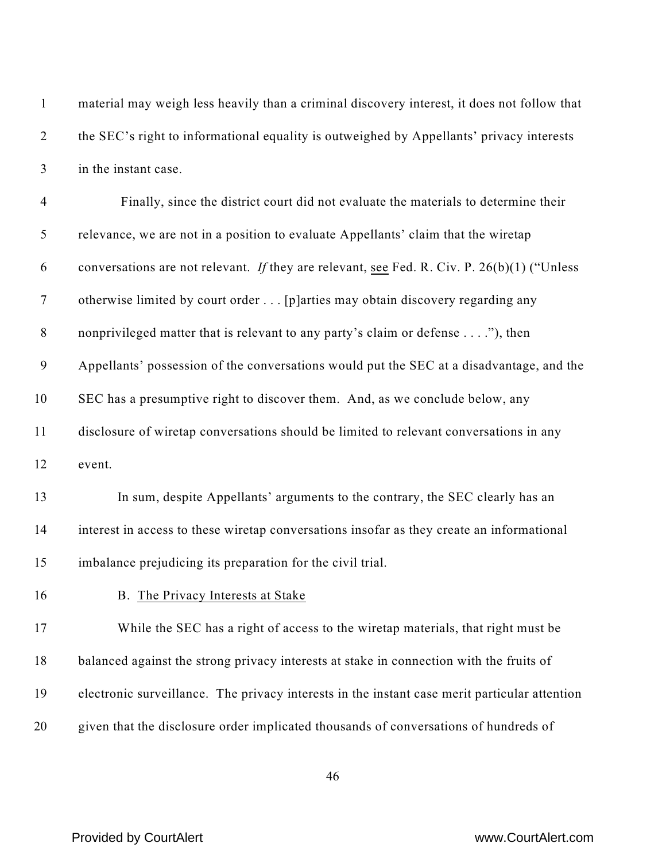| $\mathbf{1}$     | material may weigh less heavily than a criminal discovery interest, it does not follow that   |
|------------------|-----------------------------------------------------------------------------------------------|
| $\overline{2}$   | the SEC's right to informational equality is outweighed by Appellants' privacy interests      |
| $\mathfrak{Z}$   | in the instant case.                                                                          |
| $\overline{4}$   | Finally, since the district court did not evaluate the materials to determine their           |
| 5                | relevance, we are not in a position to evaluate Appellants' claim that the wiretap            |
| 6                | conversations are not relevant. If they are relevant, see Fed. R. Civ. P. $26(b)(1)$ ("Unless |
| $\overline{7}$   | otherwise limited by court order [p]arties may obtain discovery regarding any                 |
| $\,8\,$          | nonprivileged matter that is relevant to any party's claim or defense"), then                 |
| $\boldsymbol{9}$ | Appellants' possession of the conversations would put the SEC at a disadvantage, and the      |
| 10               | SEC has a presumptive right to discover them. And, as we conclude below, any                  |
| 11               | disclosure of wiretap conversations should be limited to relevant conversations in any        |
| 12               | event.                                                                                        |
| 13               | In sum, despite Appellants' arguments to the contrary, the SEC clearly has an                 |
| 14               | interest in access to these wiretap conversations insofar as they create an informational     |
| 15               | imbalance prejudicing its preparation for the civil trial.                                    |
| 16               | B. The Privacy Interests at Stake                                                             |
| 17               | While the SEC has a right of access to the wiretap materials, that right must be              |
| 18               | balanced against the strong privacy interests at stake in connection with the fruits of       |
| 19               | electronic surveillance. The privacy interests in the instant case merit particular attention |
| 20               | given that the disclosure order implicated thousands of conversations of hundreds of          |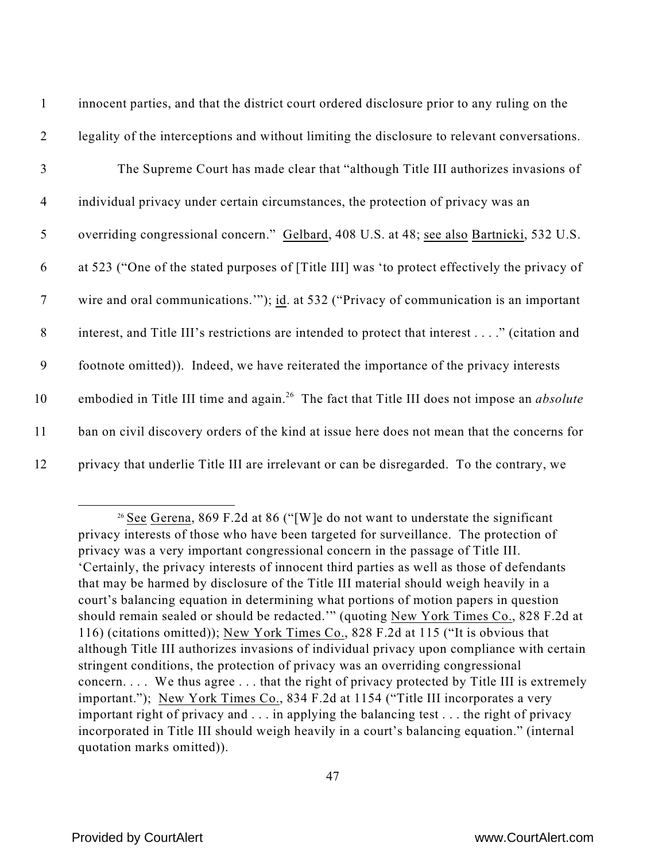| $\mathbf{1}$   | innocent parties, and that the district court ordered disclosure prior to any ruling on the                    |
|----------------|----------------------------------------------------------------------------------------------------------------|
| 2              | legality of the interceptions and without limiting the disclosure to relevant conversations.                   |
| 3              | The Supreme Court has made clear that "although Title III authorizes invasions of                              |
| $\overline{4}$ | individual privacy under certain circumstances, the protection of privacy was an                               |
| 5              | overriding congressional concern." Gelbard, 408 U.S. at 48; see also Bartnicki, 532 U.S.                       |
| 6              | at 523 ("One of the stated purposes of [Title III] was 'to protect effectively the privacy of                  |
| $\overline{7}$ | wire and oral communications."); id. at 532 ("Privacy of communication is an important                         |
| 8              | interest, and Title III's restrictions are intended to protect that interest" (citation and                    |
| 9              | footnote omitted)). Indeed, we have reiterated the importance of the privacy interests                         |
| 10             | embodied in Title III time and again. <sup>26</sup> The fact that Title III does not impose an <i>absolute</i> |
| 11             | ban on civil discovery orders of the kind at issue here does not mean that the concerns for                    |
| 12             | privacy that underlie Title III are irrelevant or can be disregarded. To the contrary, we                      |

<sup>&</sup>lt;sup>26</sup> See Gerena, 869 F.2d at 86 ("[W]e do not want to understate the significant privacy interests of those who have been targeted for surveillance. The protection of privacy was a very important congressional concern in the passage of Title III. 'Certainly, the privacy interests of innocent third parties as well as those of defendants that may be harmed by disclosure of the Title III material should weigh heavily in a court's balancing equation in determining what portions of motion papers in question should remain sealed or should be redacted.'" (quoting New York Times Co., 828 F.2d at 116) (citations omitted)); New York Times Co., 828 F.2d at 115 ("It is obvious that although Title III authorizes invasions of individual privacy upon compliance with certain stringent conditions, the protection of privacy was an overriding congressional concern. . . . We thus agree . . . that the right of privacy protected by Title III is extremely important."); New York Times Co., 834 F.2d at 1154 ("Title III incorporates a very important right of privacy and . . . in applying the balancing test . . . the right of privacy incorporated in Title III should weigh heavily in a court's balancing equation." (internal quotation marks omitted)).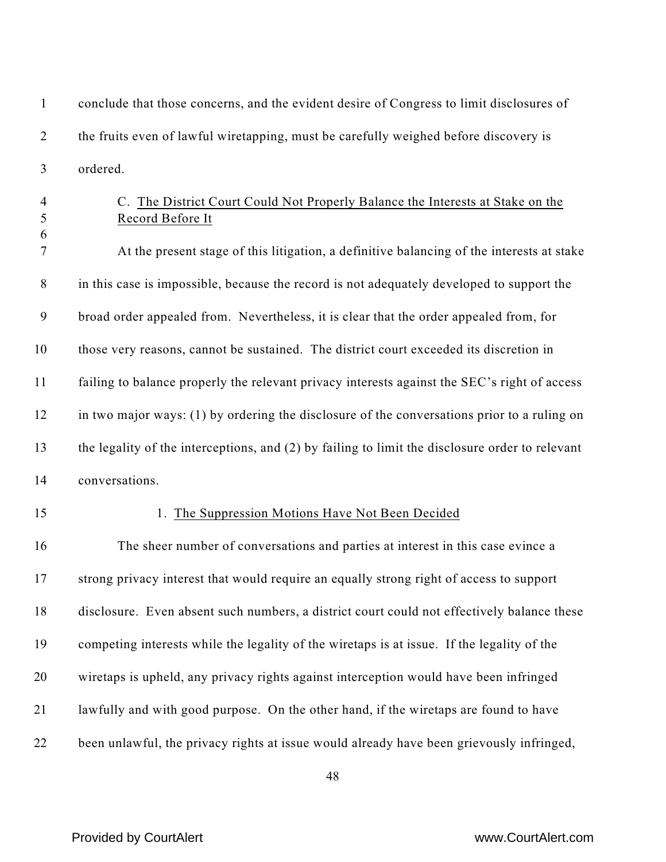2 the fruits even of lawful wiretapping, must be carefully weighed before discovery is ordered. C. The District Court Could Not Properly Balance the Interests at Stake on the Record Before It At the present stage of this litigation, a definitive balancing of the interests at stake in this case is impossible, because the record is not adequately developed to support the broad order appealed from. Nevertheless, it is clear that the order appealed from, for those very reasons, cannot be sustained. The district court exceeded its discretion in failing to balance properly the relevant privacy interests against the SEC's right of access in two major ways: (1) by ordering the disclosure of the conversations prior to a ruling on the legality of the interceptions, and (2) by failing to limit the disclosure order to relevant conversations. 15 1. The Suppression Motions Have Not Been Decided The sheer number of conversations and parties at interest in this case evince a strong privacy interest that would require an equally strong right of access to support disclosure. Even absent such numbers, a district court could not effectively balance these competing interests while the legality of the wiretaps is at issue. If the legality of the

conclude that those concerns, and the evident desire of Congress to limit disclosures of

wiretaps is upheld, any privacy rights against interception would have been infringed

- lawfully and with good purpose. On the other hand, if the wiretaps are found to have
- been unlawful, the privacy rights at issue would already have been grievously infringed,

## Provided by CourtAlert www.CourtAlert.com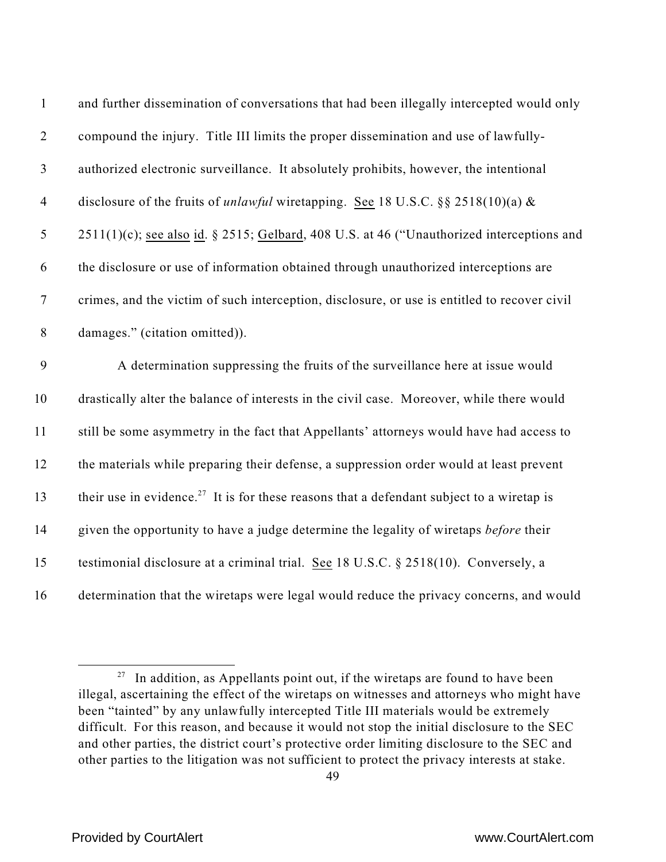| $\mathbf{1}$     | and further dissemination of conversations that had been illegally intercepted would only             |
|------------------|-------------------------------------------------------------------------------------------------------|
| $\overline{2}$   | compound the injury. Title III limits the proper dissemination and use of lawfully-                   |
| $\mathfrak{Z}$   | authorized electronic surveillance. It absolutely prohibits, however, the intentional                 |
| $\overline{4}$   | disclosure of the fruits of <i>unlawful</i> wiretapping. See 18 U.S.C. §§ 2518(10)(a) &               |
| $\sqrt{5}$       | 2511(1)(c); see also id. § 2515; Gelbard, 408 U.S. at 46 ("Unauthorized interceptions and             |
| 6                | the disclosure or use of information obtained through unauthorized interceptions are                  |
| $\boldsymbol{7}$ | crimes, and the victim of such interception, disclosure, or use is entitled to recover civil          |
| $8\,$            | damages." (citation omitted)).                                                                        |
| 9                | A determination suppressing the fruits of the surveillance here at issue would                        |
| 10               | drastically alter the balance of interests in the civil case. Moreover, while there would             |
| 11               | still be some asymmetry in the fact that Appellants' attorneys would have had access to               |
| 12               | the materials while preparing their defense, a suppression order would at least prevent               |
| 13               | their use in evidence. <sup>27</sup> It is for these reasons that a defendant subject to a wiretap is |
| 14               | given the opportunity to have a judge determine the legality of wiretaps before their                 |
| 15               | testimonial disclosure at a criminal trial. See 18 U.S.C. § 2518(10). Conversely, a                   |
| 16               | determination that the wiretaps were legal would reduce the privacy concerns, and would               |

 In addition, as Appellants point out, if the wiretaps are found to have been illegal, ascertaining the effect of the wiretaps on witnesses and attorneys who might have been "tainted" by any unlawfully intercepted Title III materials would be extremely difficult. For this reason, and because it would not stop the initial disclosure to the SEC and other parties, the district court's protective order limiting disclosure to the SEC and other parties to the litigation was not sufficient to protect the privacy interests at stake.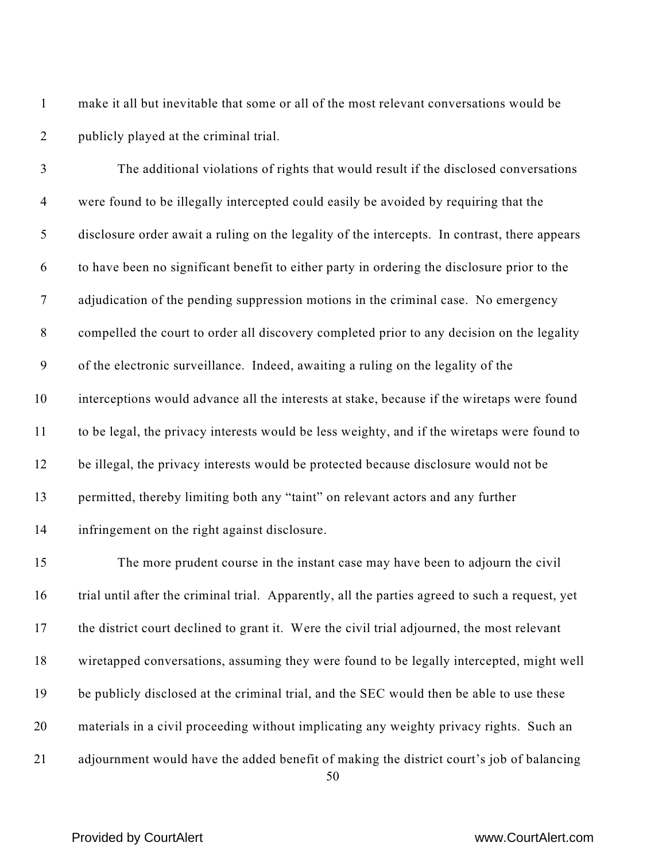make it all but inevitable that some or all of the most relevant conversations would be publicly played at the criminal trial.

 The additional violations of rights that would result if the disclosed conversations were found to be illegally intercepted could easily be avoided by requiring that the disclosure order await a ruling on the legality of the intercepts. In contrast, there appears to have been no significant benefit to either party in ordering the disclosure prior to the adjudication of the pending suppression motions in the criminal case. No emergency compelled the court to order all discovery completed prior to any decision on the legality of the electronic surveillance. Indeed, awaiting a ruling on the legality of the interceptions would advance all the interests at stake, because if the wiretaps were found to be legal, the privacy interests would be less weighty, and if the wiretaps were found to be illegal, the privacy interests would be protected because disclosure would not be permitted, thereby limiting both any "taint" on relevant actors and any further infringement on the right against disclosure.

 The more prudent course in the instant case may have been to adjourn the civil trial until after the criminal trial. Apparently, all the parties agreed to such a request, yet 17 the district court declined to grant it. Were the civil trial adjourned, the most relevant wiretapped conversations, assuming they were found to be legally intercepted, might well be publicly disclosed at the criminal trial, and the SEC would then be able to use these materials in a civil proceeding without implicating any weighty privacy rights. Such an adjournment would have the added benefit of making the district court's job of balancing

## Provided by CourtAlert www.CourtAlert.com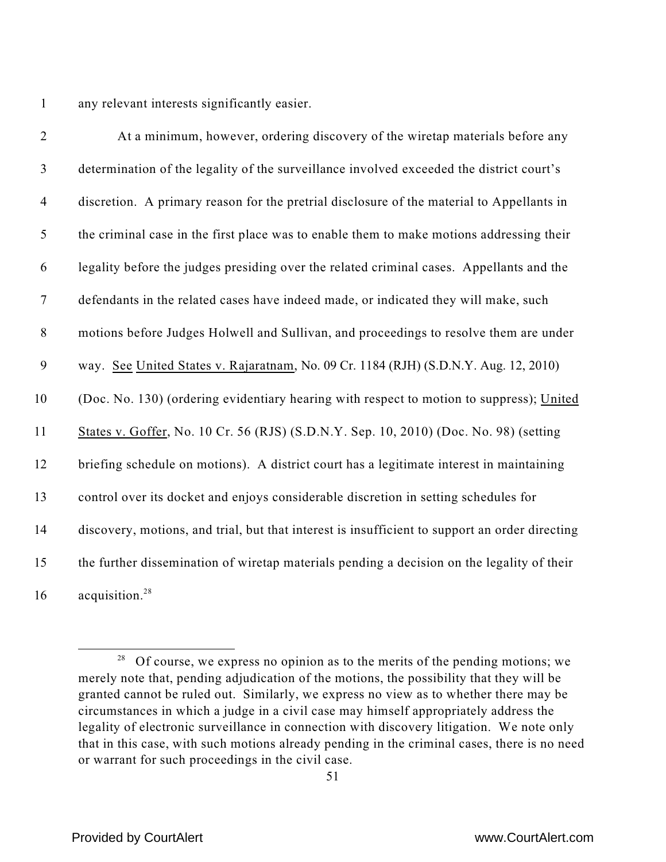any relevant interests significantly easier.

| $\overline{2}$ | At a minimum, however, ordering discovery of the wiretap materials before any                  |
|----------------|------------------------------------------------------------------------------------------------|
| $\mathfrak{Z}$ | determination of the legality of the surveillance involved exceeded the district court's       |
| $\overline{4}$ | discretion. A primary reason for the pretrial disclosure of the material to Appellants in      |
| 5              | the criminal case in the first place was to enable them to make motions addressing their       |
| 6              | legality before the judges presiding over the related criminal cases. Appellants and the       |
| $\overline{7}$ | defendants in the related cases have indeed made, or indicated they will make, such            |
| $\,8\,$        | motions before Judges Holwell and Sullivan, and proceedings to resolve them are under          |
| 9              | way. See United States v. Rajaratnam, No. 09 Cr. 1184 (RJH) (S.D.N.Y. Aug. 12, 2010)           |
| 10             | (Doc. No. 130) (ordering evidentiary hearing with respect to motion to suppress); United       |
| 11             | States v. Goffer, No. 10 Cr. 56 (RJS) (S.D.N.Y. Sep. 10, 2010) (Doc. No. 98) (setting          |
| 12             | briefing schedule on motions). A district court has a legitimate interest in maintaining       |
| 13             | control over its docket and enjoys considerable discretion in setting schedules for            |
| 14             | discovery, motions, and trial, but that interest is insufficient to support an order directing |
| 15             | the further dissemination of wiretap materials pending a decision on the legality of their     |
| 16             | acquisition. <sup>28</sup>                                                                     |

 Of course, we express no opinion as to the merits of the pending motions; we merely note that, pending adjudication of the motions, the possibility that they will be granted cannot be ruled out. Similarly, we express no view as to whether there may be circumstances in which a judge in a civil case may himself appropriately address the legality of electronic surveillance in connection with discovery litigation. We note only that in this case, with such motions already pending in the criminal cases, there is no need or warrant for such proceedings in the civil case.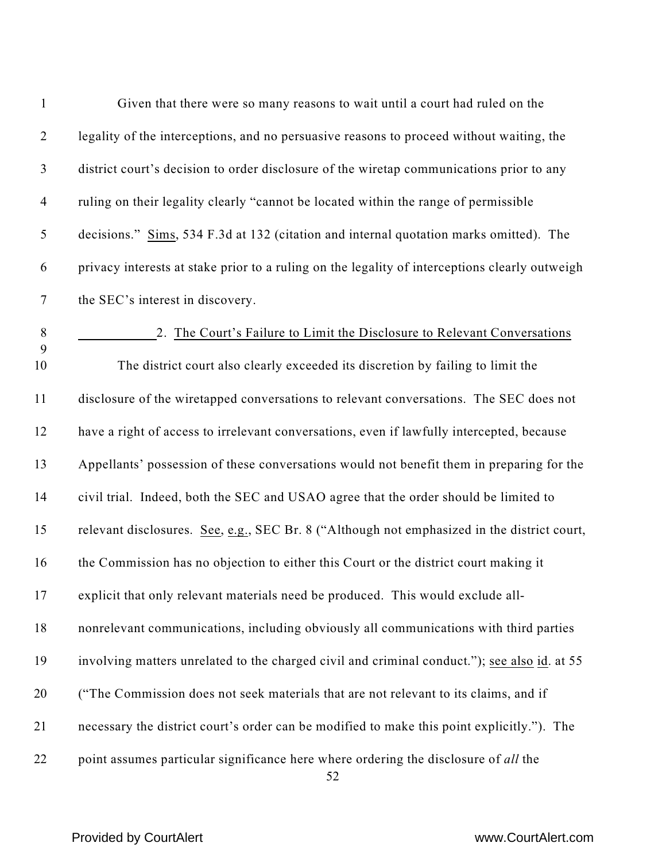| $\mathbf{1}$   | Given that there were so many reasons to wait until a court had ruled on the                   |
|----------------|------------------------------------------------------------------------------------------------|
| $\overline{2}$ | legality of the interceptions, and no persuasive reasons to proceed without waiting, the       |
| $\mathfrak{Z}$ | district court's decision to order disclosure of the wiretap communications prior to any       |
| $\overline{4}$ | ruling on their legality clearly "cannot be located within the range of permissible            |
| $\mathfrak{S}$ | decisions." Sims, 534 F.3d at 132 (citation and internal quotation marks omitted). The         |
| 6              | privacy interests at stake prior to a ruling on the legality of interceptions clearly outweigh |
| $\overline{7}$ | the SEC's interest in discovery.                                                               |
| $\,8\,$        | 2. The Court's Failure to Limit the Disclosure to Relevant Conversations                       |
| 9<br>10        | The district court also clearly exceeded its discretion by failing to limit the                |
| 11             | disclosure of the wiretapped conversations to relevant conversations. The SEC does not         |
| 12             | have a right of access to irrelevant conversations, even if lawfully intercepted, because      |
| 13             | Appellants' possession of these conversations would not benefit them in preparing for the      |
| 14             | civil trial. Indeed, both the SEC and USAO agree that the order should be limited to           |
| 15             | relevant disclosures. See, e.g., SEC Br. 8 ("Although not emphasized in the district court,    |
| 16             | the Commission has no objection to either this Court or the district court making it           |
| 17             | explicit that only relevant materials need be produced. This would exclude all-                |
| 18             | nonrelevant communications, including obviously all communications with third parties          |
| 19             | involving matters unrelated to the charged civil and criminal conduct."); see also id. at 55   |
| 20             | ("The Commission does not seek materials that are not relevant to its claims, and if           |
| 21             | necessary the district court's order can be modified to make this point explicitly."). The     |
| 22             | point assumes particular significance here where ordering the disclosure of all the            |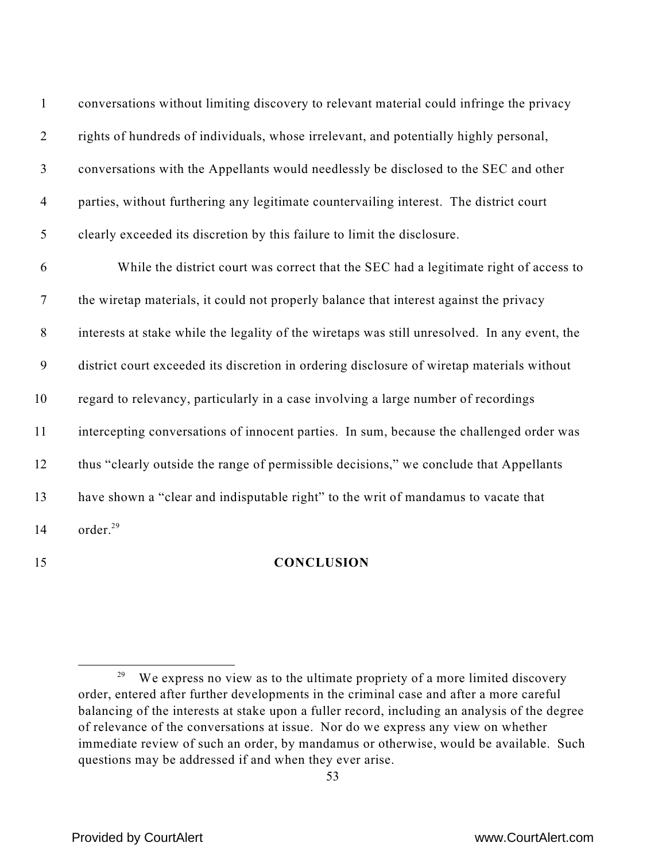| $\mathbf{1}$     | conversations without limiting discovery to relevant material could infringe the privacy      |
|------------------|-----------------------------------------------------------------------------------------------|
| $\overline{2}$   | rights of hundreds of individuals, whose irrelevant, and potentially highly personal,         |
| $\mathfrak{Z}$   | conversations with the Appellants would needlessly be disclosed to the SEC and other          |
| $\overline{4}$   | parties, without furthering any legitimate countervailing interest. The district court        |
| 5                | clearly exceeded its discretion by this failure to limit the disclosure.                      |
| 6                | While the district court was correct that the SEC had a legitimate right of access to         |
| $\boldsymbol{7}$ | the wiretap materials, it could not properly balance that interest against the privacy        |
| $8\,$            | interests at stake while the legality of the wiretaps was still unresolved. In any event, the |
| $\mathbf{9}$     | district court exceeded its discretion in ordering disclosure of wiretap materials without    |
| 10               | regard to relevancy, particularly in a case involving a large number of recordings            |
| 11               | intercepting conversations of innocent parties. In sum, because the challenged order was      |
| 12               | thus "clearly outside the range of permissible decisions," we conclude that Appellants        |
| 13               | have shown a "clear and indisputable right" to the writ of mandamus to vacate that            |
| 14               | order. <sup>29</sup>                                                                          |

### **CONCLUSION**

 We express no view as to the ultimate propriety of a more limited discovery order, entered after further developments in the criminal case and after a more careful balancing of the interests at stake upon a fuller record, including an analysis of the degree of relevance of the conversations at issue. Nor do we express any view on whether immediate review of such an order, by mandamus or otherwise, would be available. Such questions may be addressed if and when they ever arise.